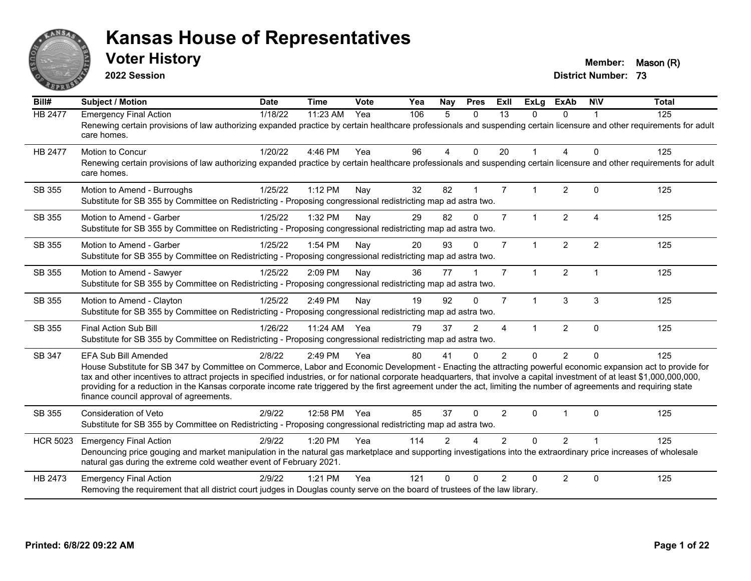

**2022 Session**

**Voter History Member:** Mason (R)

| Bill#           | <b>Subject / Motion</b>                                                                                                                                                                                                                                                                                                                                                                                                                                                                                                                                                                            | <b>Date</b> | <b>Time</b> | Vote | Yea | Nay            | <b>Pres</b>    | <b>Exll</b>    | <b>ExLg</b>          | <b>ExAb</b>    | <b>NIV</b>             | <b>Total</b> |
|-----------------|----------------------------------------------------------------------------------------------------------------------------------------------------------------------------------------------------------------------------------------------------------------------------------------------------------------------------------------------------------------------------------------------------------------------------------------------------------------------------------------------------------------------------------------------------------------------------------------------------|-------------|-------------|------|-----|----------------|----------------|----------------|----------------------|----------------|------------------------|--------------|
| <b>HB 2477</b>  | <b>Emergency Final Action</b><br>Renewing certain provisions of law authorizing expanded practice by certain healthcare professionals and suspending certain licensure and other requirements for adult<br>care homes.                                                                                                                                                                                                                                                                                                                                                                             | 1/18/22     | 11:23 AM    | Yea  | 106 | 5              | $\Omega$       | 13             | 0                    | $\Omega$       |                        | 125          |
| <b>HB 2477</b>  | Motion to Concur<br>Renewing certain provisions of law authorizing expanded practice by certain healthcare professionals and suspending certain licensure and other requirements for adult<br>care homes.                                                                                                                                                                                                                                                                                                                                                                                          | 1/20/22     | 4:46 PM     | Yea  | 96  | $\overline{4}$ | $\Omega$       | 20             | 1                    | 4              | $\Omega$               | 125          |
| SB 355          | Motion to Amend - Burroughs<br>Substitute for SB 355 by Committee on Redistricting - Proposing congressional redistricting map ad astra two.                                                                                                                                                                                                                                                                                                                                                                                                                                                       | 1/25/22     | 1:12 PM     | Nay  | 32  | 82             |                | $\overline{7}$ | 1                    | $\overline{2}$ | $\Omega$               | 125          |
| SB 355          | Motion to Amend - Garber<br>Substitute for SB 355 by Committee on Redistricting - Proposing congressional redistricting map ad astra two.                                                                                                                                                                                                                                                                                                                                                                                                                                                          | 1/25/22     | 1:32 PM     | Nay  | 29  | 82             | $\Omega$       | $\overline{7}$ | $\mathbf{1}$         | $\overline{2}$ | $\boldsymbol{\Lambda}$ | 125          |
| SB 355          | Motion to Amend - Garber<br>Substitute for SB 355 by Committee on Redistricting - Proposing congressional redistricting map ad astra two.                                                                                                                                                                                                                                                                                                                                                                                                                                                          | 1/25/22     | 1:54 PM     | Nay  | 20  | 93             | $\Omega$       | $\overline{7}$ | $\mathbf{1}$         | $\overline{2}$ | $\overline{2}$         | 125          |
| SB 355          | Motion to Amend - Sawyer<br>Substitute for SB 355 by Committee on Redistricting - Proposing congressional redistricting map ad astra two.                                                                                                                                                                                                                                                                                                                                                                                                                                                          | 1/25/22     | 2:09 PM     | Nay  | 36  | 77             |                | $\overline{7}$ | 1                    | $\overline{2}$ |                        | 125          |
| SB 355          | Motion to Amend - Clayton<br>Substitute for SB 355 by Committee on Redistricting - Proposing congressional redistricting map ad astra two.                                                                                                                                                                                                                                                                                                                                                                                                                                                         | 1/25/22     | 2:49 PM     | Nay  | 19  | 92             | $\Omega$       | $\overline{7}$ | $\blacktriangleleft$ | 3              | 3                      | 125          |
| SB 355          | Final Action Sub Bill<br>Substitute for SB 355 by Committee on Redistricting - Proposing congressional redistricting map ad astra two.                                                                                                                                                                                                                                                                                                                                                                                                                                                             | 1/26/22     | 11:24 AM    | Yea  | 79  | 37             | $\overline{2}$ | 4              | 1                    | $\overline{2}$ | $\Omega$               | 125          |
| SB 347          | <b>EFA Sub Bill Amended</b><br>House Substitute for SB 347 by Committee on Commerce, Labor and Economic Development - Enacting the attracting powerful economic expansion act to provide for<br>tax and other incentives to attract projects in specified industries, or for national corporate headquarters, that involve a capital investment of at least \$1,000,000,000,000,<br>providing for a reduction in the Kansas corporate income rate triggered by the first agreement under the act, limiting the number of agreements and requiring state<br>finance council approval of agreements. | 2/8/22      | 2:49 PM     | Yea  | 80  | 41             | $\Omega$       | $\mathfrak{p}$ | $\Omega$             | $\overline{2}$ | $\Omega$               | 125          |
| SB 355          | <b>Consideration of Veto</b><br>Substitute for SB 355 by Committee on Redistricting - Proposing congressional redistricting map ad astra two.                                                                                                                                                                                                                                                                                                                                                                                                                                                      | 2/9/22      | 12:58 PM    | Yea  | 85  | 37             | $\Omega$       | $\overline{2}$ | $\Omega$             |                | $\Omega$               | 125          |
| <b>HCR 5023</b> | <b>Emergency Final Action</b><br>Denouncing price gouging and market manipulation in the natural gas marketplace and supporting investigations into the extraordinary price increases of wholesale<br>natural gas during the extreme cold weather event of February 2021.                                                                                                                                                                                                                                                                                                                          | 2/9/22      | 1:20 PM     | Yea  | 114 | $\mathfrak{p}$ |                | $\mathcal{P}$  | $\Omega$             | $\overline{2}$ |                        | 125          |
| HB 2473         | <b>Emergency Final Action</b><br>Removing the requirement that all district court judges in Douglas county serve on the board of trustees of the law library.                                                                                                                                                                                                                                                                                                                                                                                                                                      | 2/9/22      | $1:21$ PM   | Yea  | 121 | U              |                | $\mathcal{P}$  | $\Omega$             | $\overline{2}$ | $\Omega$               | 125          |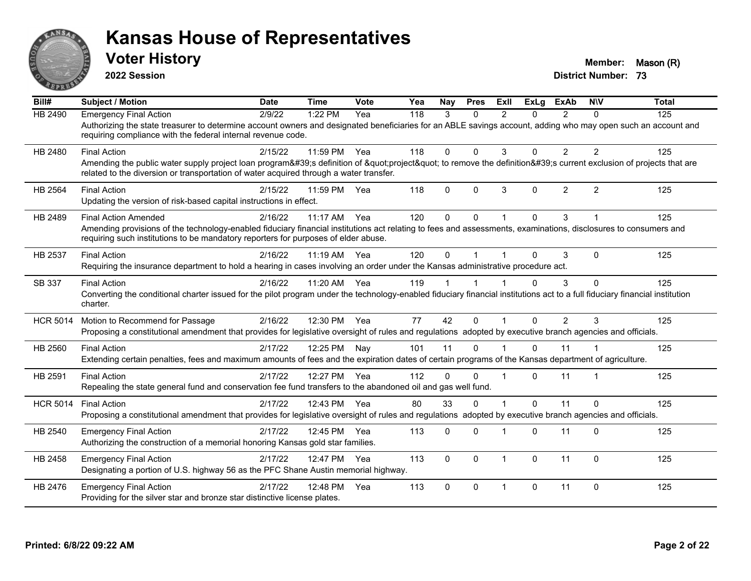

**2022 Session**

**Voter History Member:** Mason (R)

| Bill#           | <b>Subject / Motion</b>                                                                                                                                                                                                                                                              | <b>Date</b> | <b>Time</b> | Vote | Yea | <b>Nav</b>  | <b>Pres</b> | ExIl                    | <b>ExLg</b> | <b>ExAb</b>    | <b>NIV</b>     | <b>Total</b> |
|-----------------|--------------------------------------------------------------------------------------------------------------------------------------------------------------------------------------------------------------------------------------------------------------------------------------|-------------|-------------|------|-----|-------------|-------------|-------------------------|-------------|----------------|----------------|--------------|
| <b>HB 2490</b>  | <b>Emergency Final Action</b><br>Authorizing the state treasurer to determine account owners and designated beneficiaries for an ABLE savings account, adding who may open such an account and<br>requiring compliance with the federal internal revenue code.                       | 2/9/22      | 1:22 PM     | Yea  | 118 | 3           | $\Omega$    | $\mathfrak{p}$          | 0           | $\mathcal{P}$  | $\Omega$       | 125          |
| HB 2480         | <b>Final Action</b><br>Amending the public water supply project loan program's definition of "project" to remove the definition's current exclusion of projects that are<br>related to the diversion or transportation of water acquired through a water transfer.                   | 2/15/22     | 11:59 PM    | Yea  | 118 | $\Omega$    | $\Omega$    | 3                       | $\Omega$    | $\overline{2}$ | $\overline{2}$ | 125          |
| HB 2564         | <b>Final Action</b><br>Updating the version of risk-based capital instructions in effect.                                                                                                                                                                                            | 2/15/22     | 11:59 PM    | Yea  | 118 | $\Omega$    | $\Omega$    | 3                       | $\Omega$    | $\overline{2}$ | 2              | 125          |
| HB 2489         | <b>Final Action Amended</b><br>Amending provisions of the technology-enabled fiduciary financial institutions act relating to fees and assessments, examinations, disclosures to consumers and<br>requiring such institutions to be mandatory reporters for purposes of elder abuse. | 2/16/22     | 11:17 AM    | Yea  | 120 | $\Omega$    | $\Omega$    | $\overline{\mathbf{1}}$ | $\Omega$    | 3              |                | 125          |
| HB 2537         | <b>Final Action</b><br>Requiring the insurance department to hold a hearing in cases involving an order under the Kansas administrative procedure act.                                                                                                                               | 2/16/22     | 11:19 AM    | Yea  | 120 | $\Omega$    |             |                         | $\Omega$    | 3              | $\mathbf 0$    | 125          |
| SB 337          | <b>Final Action</b><br>Converting the conditional charter issued for the pilot program under the technology-enabled fiduciary financial institutions act to a full fiduciary financial institution<br>charter.                                                                       | 2/16/22     | 11:20 AM    | Yea  | 119 |             |             |                         | 0           | 3              | $\mathbf 0$    | 125          |
| <b>HCR 5014</b> | Motion to Recommend for Passage<br>Proposing a constitutional amendment that provides for legislative oversight of rules and regulations adopted by executive branch agencies and officials.                                                                                         | 2/16/22     | 12:30 PM    | Yea  | 77  | 42          | $\Omega$    |                         | $\Omega$    | $\overline{2}$ | 3              | 125          |
| HB 2560         | <b>Final Action</b><br>Extending certain penalties, fees and maximum amounts of fees and the expiration dates of certain programs of the Kansas department of agriculture.                                                                                                           | 2/17/22     | 12:25 PM    | Nay  | 101 | 11          | $\Omega$    |                         | $\Omega$    | 11             |                | 125          |
| HB 2591         | <b>Final Action</b><br>Repealing the state general fund and conservation fee fund transfers to the abandoned oil and gas well fund.                                                                                                                                                  | 2/17/22     | 12:27 PM    | Yea  | 112 | $\Omega$    | $\Omega$    |                         | 0           | 11             |                | 125          |
| <b>HCR 5014</b> | <b>Final Action</b><br>Proposing a constitutional amendment that provides for legislative oversight of rules and regulations adopted by executive branch agencies and officials.                                                                                                     | 2/17/22     | 12:43 PM    | Yea  | 80  | 33          | $\Omega$    |                         | $\Omega$    | 11             | $\Omega$       | 125          |
| HB 2540         | <b>Emergency Final Action</b><br>Authorizing the construction of a memorial honoring Kansas gold star families.                                                                                                                                                                      | 2/17/22     | 12:45 PM    | Yea  | 113 | 0           | $\Omega$    |                         | $\Omega$    | 11             | $\Omega$       | 125          |
| HB 2458         | <b>Emergency Final Action</b><br>Designating a portion of U.S. highway 56 as the PFC Shane Austin memorial highway.                                                                                                                                                                  | 2/17/22     | 12:47 PM    | Yea  | 113 | $\mathbf 0$ | $\Omega$    | $\overline{1}$          | $\Omega$    | 11             | $\mathbf 0$    | 125          |
| HB 2476         | <b>Emergency Final Action</b><br>Providing for the silver star and bronze star distinctive license plates.                                                                                                                                                                           | 2/17/22     | 12:48 PM    | Yea  | 113 | $\Omega$    | $\Omega$    | $\overline{1}$          | 0           | 11             | $\Omega$       | 125          |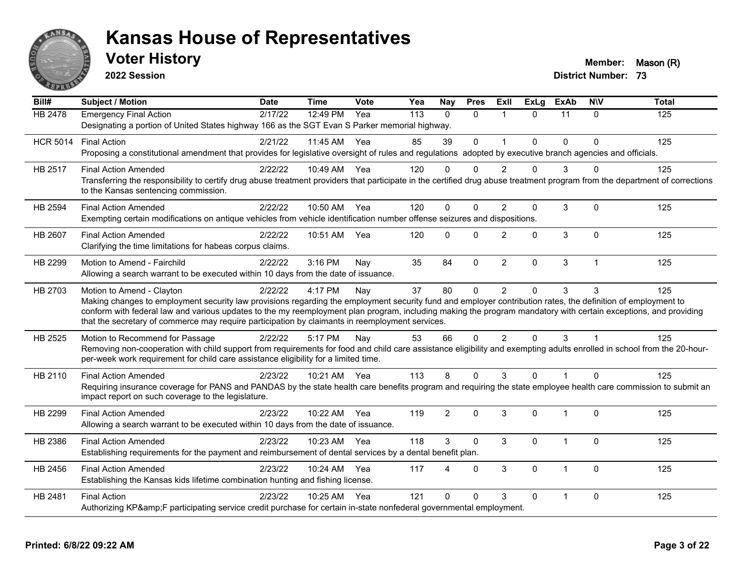

**2022 Session**

**Voter History Member:** Mason (R)

| $\overline{Bill#}$ | <b>Subject / Motion</b>                                                                                                                                                                                                                                                                                                                                                                                                                                         | <b>Date</b> | <b>Time</b>  | Vote | Yea | <b>Nay</b> | <b>Pres</b>  | ExII           | $\overline{Ex}$ Lg | <b>ExAb</b>    | <b>NIV</b>     | <b>Total</b> |
|--------------------|-----------------------------------------------------------------------------------------------------------------------------------------------------------------------------------------------------------------------------------------------------------------------------------------------------------------------------------------------------------------------------------------------------------------------------------------------------------------|-------------|--------------|------|-----|------------|--------------|----------------|--------------------|----------------|----------------|--------------|
| <b>HB 2478</b>     | <b>Emergency Final Action</b><br>Designating a portion of United States highway 166 as the SGT Evan S Parker memorial highway.                                                                                                                                                                                                                                                                                                                                  | 2/17/22     | 12:49 PM     | Yea  | 113 | $\Omega$   | $\Omega$     | $\overline{1}$ | $\Omega$           | 11             | $\mathbf{0}$   | 125          |
| <b>HCR 5014</b>    | <b>Final Action</b><br>Proposing a constitutional amendment that provides for legislative oversight of rules and regulations adopted by executive branch agencies and officials.                                                                                                                                                                                                                                                                                | 2/21/22     | 11:45 AM     | Yea  | 85  | 39         | $\mathbf 0$  | $\mathbf{1}$   | $\Omega$           | $\Omega$       | $\Omega$       | 125          |
| HB 2517            | <b>Final Action Amended</b><br>Transferring the responsibility to certify drug abuse treatment providers that participate in the certified drug abuse treatment program from the department of corrections<br>to the Kansas sentencing commission.                                                                                                                                                                                                              | 2/22/22     | 10:49 AM Yea |      | 120 | $\Omega$   | $\Omega$     | $\mathcal{P}$  | O                  | 3              | $\Omega$       | 125          |
| HB 2594            | <b>Final Action Amended</b><br>Exempting certain modifications on antique vehicles from vehicle identification number offense seizures and dispositions.                                                                                                                                                                                                                                                                                                        | 2/22/22     | 10:50 AM     | Yea  | 120 | $\Omega$   | $\mathbf{0}$ | $\overline{2}$ | $\mathbf{0}$       | 3              | $\mathbf{0}$   | 125          |
| HB 2607            | <b>Final Action Amended</b><br>Clarifying the time limitations for habeas corpus claims.                                                                                                                                                                                                                                                                                                                                                                        | 2/22/22     | 10:51 AM     | Yea  | 120 | $\Omega$   | $\Omega$     | 2              | $\Omega$           | 3              | $\Omega$       | 125          |
| HB 2299            | Motion to Amend - Fairchild<br>Allowing a search warrant to be executed within 10 days from the date of issuance.                                                                                                                                                                                                                                                                                                                                               | 2/22/22     | $3:16$ PM    | Nay  | 35  | 84         | $\Omega$     | $\overline{2}$ | $\mathbf{0}$       | 3              | $\overline{1}$ | 125          |
| HB 2703            | Motion to Amend - Clayton<br>Making changes to employment security law provisions regarding the employment security fund and employer contribution rates, the definition of employment to<br>conform with federal law and various updates to the my reemployment plan program, including making the program mandatory with certain exceptions, and providing<br>that the secretary of commerce may require participation by claimants in reemployment services. | 2/22/22     | 4:17 PM      | Nay  | 37  | 80         | $\mathbf{0}$ | $\overline{2}$ | $\mathbf{0}$       | 3              | 3              | 125          |
| HB 2525            | Motion to Recommend for Passage<br>Removing non-cooperation with child support from requirements for food and child care assistance eligibility and exempting adults enrolled in school from the 20-hour-<br>per-week work requirement for child care assistance eligibility for a limited time.                                                                                                                                                                | 2/22/22     | 5:17 PM      | Nay  | 53  | 66         | $\mathbf 0$  | $\overline{2}$ | $\mathbf{0}$       | 3              |                | 125          |
| HB 2110            | <b>Final Action Amended</b><br>Requiring insurance coverage for PANS and PANDAS by the state health care benefits program and requiring the state employee health care commission to submit an<br>impact report on such coverage to the legislature.                                                                                                                                                                                                            | 2/23/22     | 10:21 AM Yea |      | 113 | 8          | $\Omega$     | 3              | $\Omega$           | $\mathbf{1}$   | $\Omega$       | 125          |
| HB 2299            | <b>Final Action Amended</b><br>Allowing a search warrant to be executed within 10 days from the date of issuance.                                                                                                                                                                                                                                                                                                                                               | 2/23/22     | 10:22 AM     | Yea  | 119 | 2          | $\Omega$     | 3              | $\Omega$           | $\mathbf{1}$   | $\Omega$       | 125          |
| HB 2386            | <b>Final Action Amended</b><br>Establishing requirements for the payment and reimbursement of dental services by a dental benefit plan.                                                                                                                                                                                                                                                                                                                         | 2/23/22     | 10:23 AM     | Yea  | 118 | 3          | $\Omega$     | 3              | $\Omega$           | $\mathbf{1}$   | $\mathbf{0}$   | 125          |
| HB 2456            | <b>Final Action Amended</b><br>Establishing the Kansas kids lifetime combination hunting and fishing license.                                                                                                                                                                                                                                                                                                                                                   | 2/23/22     | 10:24 AM     | Yea  | 117 | Δ          | $\Omega$     | 3              | $\mathbf{0}$       | $\mathbf 1$    | $\Omega$       | 125          |
| HB 2481            | <b>Final Action</b><br>Authorizing KP&F participating service credit purchase for certain in-state nonfederal governmental employment.                                                                                                                                                                                                                                                                                                                          | 2/23/22     | 10:25 AM     | Yea  | 121 | $\Omega$   | $\Omega$     | 3              | $\Omega$           | $\overline{1}$ | $\mathbf{0}$   | 125          |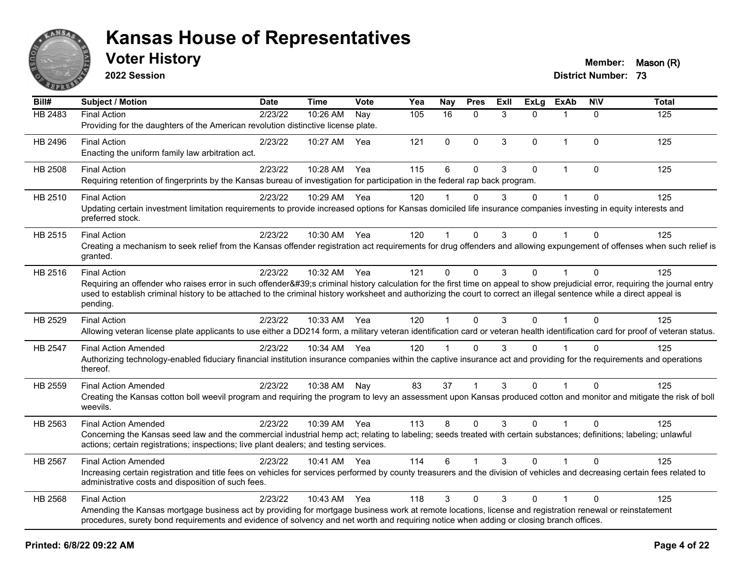

**2022 Session**

**Voter History Member:** Mason (R)

| Bill#   | <b>Subject / Motion</b>                                                                                                                                                                                                                                                                                                                                                                | <b>Date</b> | Time         | <b>Vote</b> | Yea | <b>Nay</b>   | <b>Pres</b>  | ExII | <b>ExLg</b>  | <b>ExAb</b>  | <b>NIV</b>   | <b>Total</b> |
|---------|----------------------------------------------------------------------------------------------------------------------------------------------------------------------------------------------------------------------------------------------------------------------------------------------------------------------------------------------------------------------------------------|-------------|--------------|-------------|-----|--------------|--------------|------|--------------|--------------|--------------|--------------|
| HB 2483 | <b>Final Action</b><br>Providing for the daughters of the American revolution distinctive license plate.                                                                                                                                                                                                                                                                               | 2/23/22     | 10:26 AM     | Nay         | 105 | 16           | $\mathbf{0}$ | 3    | $\Omega$     | $\mathbf 1$  | $\Omega$     | 125          |
| HB 2496 | <b>Final Action</b><br>Enacting the uniform family law arbitration act.                                                                                                                                                                                                                                                                                                                | 2/23/22     | 10:27 AM     | Yea         | 121 | $\Omega$     | $\Omega$     | 3    | $\mathbf{0}$ | $\mathbf{1}$ | $\mathbf{0}$ | 125          |
| HB 2508 | <b>Final Action</b><br>Requiring retention of fingerprints by the Kansas bureau of investigation for participation in the federal rap back program.                                                                                                                                                                                                                                    | 2/23/22     | 10:28 AM     | Yea         | 115 | 6            | $\mathbf{0}$ | 3    | $\Omega$     | $\mathbf{1}$ | $\mathbf{0}$ | 125          |
| HB 2510 | <b>Final Action</b><br>Updating certain investment limitation requirements to provide increased options for Kansas domiciled life insurance companies investing in equity interests and<br>preferred stock.                                                                                                                                                                            | 2/23/22     | 10:29 AM Yea |             | 120 |              | $\Omega$     | 3    | $\mathbf 0$  |              | $\Omega$     | 125          |
| HB 2515 | <b>Final Action</b><br>Creating a mechanism to seek relief from the Kansas offender registration act requirements for drug offenders and allowing expungement of offenses when such relief is<br>granted.                                                                                                                                                                              | 2/23/22     | 10:30 AM Yea |             | 120 | $\mathbf 1$  | $\mathbf{0}$ | 3    | $\mathbf{0}$ | 1            | $\Omega$     | 125          |
| HB 2516 | <b>Final Action</b><br>Requiring an offender who raises error in such offender's criminal history calculation for the first time on appeal to show prejudicial error, requiring the journal entry<br>used to establish criminal history to be attached to the criminal history worksheet and authorizing the court to correct an illegal sentence while a direct appeal is<br>pending. | 2/23/22     | 10:32 AM     | Yea         | 121 | $\mathbf 0$  | $\mathbf 0$  | 3    | $\Omega$     | $\mathbf 1$  | $\mathbf{0}$ | 125          |
| HB 2529 | <b>Final Action</b><br>Allowing veteran license plate applicants to use either a DD214 form, a military veteran identification card or veteran health identification card for proof of veteran status.                                                                                                                                                                                 | 2/23/22     | 10:33 AM Yea |             | 120 | $\mathbf{1}$ | $\Omega$     | 3    | $\Omega$     | $\mathbf{1}$ | $\Omega$     | 125          |
| HB 2547 | <b>Final Action Amended</b><br>Authorizing technology-enabled fiduciary financial institution insurance companies within the captive insurance act and providing for the requirements and operations<br>thereof.                                                                                                                                                                       | 2/23/22     | 10:34 AM Yea |             | 120 | 1            | $\Omega$     | 3    | $\Omega$     |              | $\Omega$     | 125          |
| HB 2559 | <b>Final Action Amended</b><br>Creating the Kansas cotton boll weevil program and requiring the program to levy an assessment upon Kansas produced cotton and monitor and mitigate the risk of boll<br>weevils.                                                                                                                                                                        | 2/23/22     | 10:38 AM     | Nay         | 83  | 37           |              | 3    | $\mathbf{0}$ |              | $\mathbf{0}$ | 125          |
| HB 2563 | <b>Final Action Amended</b><br>Concerning the Kansas seed law and the commercial industrial hemp act; relating to labeling; seeds treated with certain substances; definitions; labeling; unlawful<br>actions; certain registrations; inspections; live plant dealers; and testing services.                                                                                           | 2/23/22     | 10:39 AM Yea |             | 113 | 8            | $\Omega$     | 3    | $\Omega$     | $\mathbf{1}$ | $\Omega$     | 125          |
| HB 2567 | <b>Final Action Amended</b><br>Increasing certain registration and title fees on vehicles for services performed by county treasurers and the division of vehicles and decreasing certain fees related to<br>administrative costs and disposition of such fees.                                                                                                                        | 2/23/22     | 10:41 AM Yea |             | 114 | 6            |              | 3    | $\Omega$     |              | $\Omega$     | 125          |
| HB 2568 | <b>Final Action</b><br>Amending the Kansas mortgage business act by providing for mortgage business work at remote locations, license and registration renewal or reinstatement<br>procedures, surety bond requirements and evidence of solvency and net worth and requiring notice when adding or closing branch offices.                                                             | 2/23/22     | 10:43 AM     | Yea         | 118 | 3            | $\Omega$     | 3    | $\mathbf{0}$ | 1            | $\Omega$     | 125          |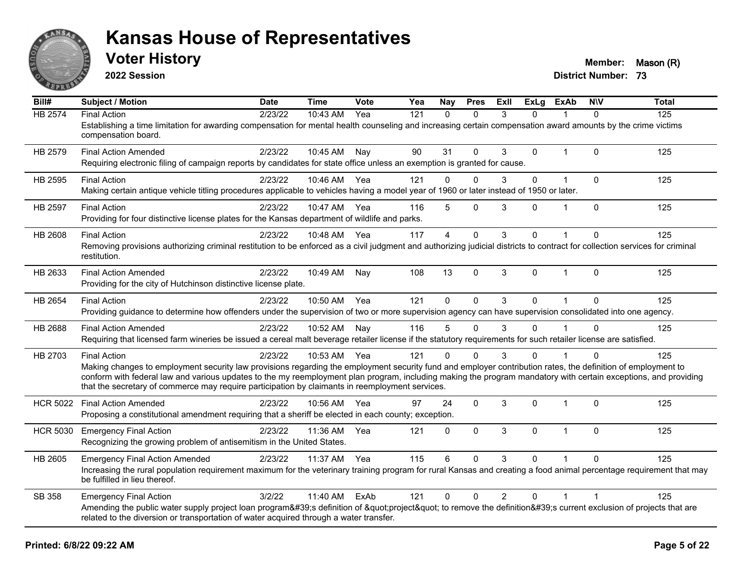

**2022 Session**

**Voter History Member:** Mason (R)

| Bill#           | Subject / Motion                                                                                                                                                                                                                                                                                                                                                                                                                                          | <b>Date</b> | <b>Time</b>  | Vote | Yea | Nay          | <b>Pres</b>  | ExII           | <b>ExLg</b>  | <b>ExAb</b>  | <b>NIV</b>   | <b>Total</b> |
|-----------------|-----------------------------------------------------------------------------------------------------------------------------------------------------------------------------------------------------------------------------------------------------------------------------------------------------------------------------------------------------------------------------------------------------------------------------------------------------------|-------------|--------------|------|-----|--------------|--------------|----------------|--------------|--------------|--------------|--------------|
| <b>HB 2574</b>  | <b>Final Action</b><br>Establishing a time limitation for awarding compensation for mental health counseling and increasing certain compensation award amounts by the crime victims<br>compensation board.                                                                                                                                                                                                                                                | 2/23/22     | 10:43 AM     | Yea  | 121 | $\Omega$     | $\Omega$     | 3              | $\Omega$     |              | $\Omega$     | 125          |
| HB 2579         | <b>Final Action Amended</b><br>Requiring electronic filing of campaign reports by candidates for state office unless an exemption is granted for cause.                                                                                                                                                                                                                                                                                                   | 2/23/22     | 10:45 AM     | Nay  | 90  | 31           | $\Omega$     | 3              | $\mathbf 0$  | 1            | $\Omega$     | 125          |
| HB 2595         | <b>Final Action</b><br>Making certain antique vehicle titling procedures applicable to vehicles having a model year of 1960 or later instead of 1950 or later.                                                                                                                                                                                                                                                                                            | 2/23/22     | 10:46 AM     | Yea  | 121 | $\Omega$     | $\Omega$     | 3              | $\mathbf{0}$ | $\mathbf{1}$ | $\mathbf{0}$ | 125          |
| <b>HB 2597</b>  | <b>Final Action</b><br>Providing for four distinctive license plates for the Kansas department of wildlife and parks.                                                                                                                                                                                                                                                                                                                                     | 2/23/22     | 10:47 AM Yea |      | 116 | 5            | $\mathbf 0$  | 3              | $\mathbf{0}$ | $\mathbf 1$  | $\mathbf{0}$ | 125          |
| HB 2608         | <b>Final Action</b><br>Removing provisions authorizing criminal restitution to be enforced as a civil judgment and authorizing judicial districts to contract for collection services for criminal<br>restitution.                                                                                                                                                                                                                                        | 2/23/22     | 10:48 AM     | Yea  | 117 | 4            | $\mathbf 0$  | 3              | 0            |              | $\Omega$     | 125          |
| HB 2633         | <b>Final Action Amended</b><br>Providing for the city of Hutchinson distinctive license plate.                                                                                                                                                                                                                                                                                                                                                            | 2/23/22     | 10:49 AM     | Nay  | 108 | 13           | $\pmb{0}$    | 3              | $\mathbf{0}$ | $\mathbf{1}$ | $\mathbf{0}$ | 125          |
| HB 2654         | <b>Final Action</b><br>Providing guidance to determine how offenders under the supervision of two or more supervision agency can have supervision consolidated into one agency.                                                                                                                                                                                                                                                                           | 2/23/22     | 10:50 AM     | Yea  | 121 | $\Omega$     | $\mathbf 0$  | 3              | $\Omega$     | $\mathbf{1}$ | $\Omega$     | 125          |
| HB 2688         | <b>Final Action Amended</b><br>Requiring that licensed farm wineries be issued a cereal malt beverage retailer license if the statutory requirements for such retailer license are satisfied.                                                                                                                                                                                                                                                             | 2/23/22     | 10:52 AM     | Nay  | 116 | 5            | $\mathbf{0}$ | 3              | $\mathbf{0}$ |              | $\Omega$     | 125          |
| HB 2703         | <b>Final Action</b><br>Making changes to employment security law provisions regarding the employment security fund and employer contribution rates, the definition of employment to<br>conform with federal law and various updates to the my reemployment plan program, including making the program mandatory with certain exceptions, and providing<br>that the secretary of commerce may require participation by claimants in reemployment services. | 2/23/22     | 10:53 AM     | Yea  | 121 | $\Omega$     | $\Omega$     | 3              | $\Omega$     |              | $\Omega$     | 125          |
| <b>HCR 5022</b> | <b>Final Action Amended</b><br>Proposing a constitutional amendment requiring that a sheriff be elected in each county; exception.                                                                                                                                                                                                                                                                                                                        | 2/23/22     | 10:56 AM     | Yea  | 97  | 24           | $\mathbf{0}$ | 3              | $\mathbf{0}$ | $\mathbf{1}$ | $\mathbf{0}$ | 125          |
| <b>HCR 5030</b> | <b>Emergency Final Action</b><br>Recognizing the growing problem of antisemitism in the United States.                                                                                                                                                                                                                                                                                                                                                    | 2/23/22     | 11:36 AM     | Yea  | 121 | $\mathbf{0}$ | $\mathbf{0}$ | 3              | $\Omega$     | $\mathbf{1}$ | $\mathbf{0}$ | 125          |
| HB 2605         | <b>Emergency Final Action Amended</b><br>Increasing the rural population requirement maximum for the veterinary training program for rural Kansas and creating a food animal percentage requirement that may<br>be fulfilled in lieu thereof.                                                                                                                                                                                                             | 2/23/22     | 11:37 AM     | Yea  | 115 | 6            | $\Omega$     | 3              | 0            |              | $\Omega$     | 125          |
| SB 358          | <b>Emergency Final Action</b><br>Amending the public water supply project loan program's definition of "project" to remove the definition's current exclusion of projects that are<br>related to the diversion or transportation of water acquired through a water transfer.                                                                                                                                                                              | 3/2/22      | 11:40 AM     | ExAb | 121 | $\mathbf{0}$ | $\Omega$     | $\overline{2}$ | $\mathbf{0}$ | 1            |              | 125          |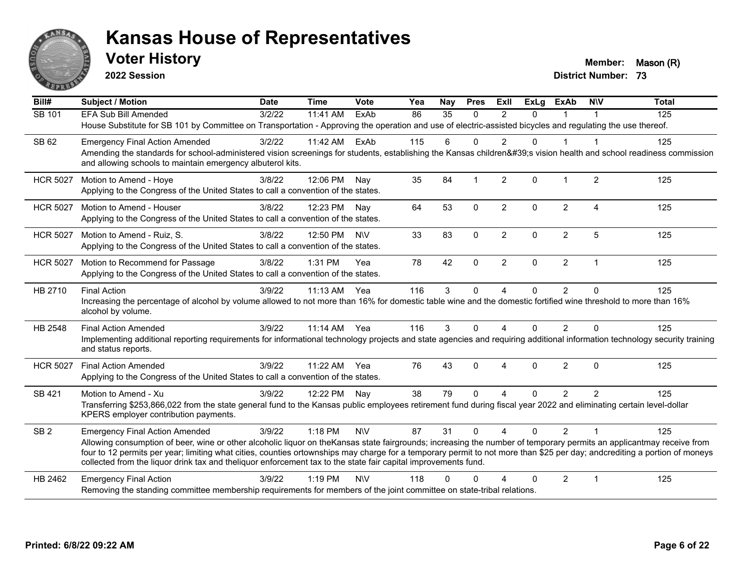

**2022 Session**

**Voter History Member:** Mason (R)

| Bill#           | <b>Subject / Motion</b>                                                                                                                                                                                                                                                                     | <b>Date</b> | <b>Time</b>  | Vote       | Yea | Nav             | <b>Pres</b>  | ExIl           | $\overline{Ex}$ Lg | <b>ExAb</b>    | <b>NIV</b>              | <b>Total</b> |
|-----------------|---------------------------------------------------------------------------------------------------------------------------------------------------------------------------------------------------------------------------------------------------------------------------------------------|-------------|--------------|------------|-----|-----------------|--------------|----------------|--------------------|----------------|-------------------------|--------------|
| SB 101          | <b>EFA Sub Bill Amended</b>                                                                                                                                                                                                                                                                 | 3/2/22      | 11:41 AM     | ExAb       | 86  | $\overline{35}$ | $\mathbf{0}$ | 2              | $\Omega$           |                |                         | 125          |
|                 | House Substitute for SB 101 by Committee on Transportation - Approving the operation and use of electric-assisted bicycles and regulating the use thereof.                                                                                                                                  |             |              |            |     |                 |              |                |                    |                |                         |              |
| SB 62           | <b>Emergency Final Action Amended</b>                                                                                                                                                                                                                                                       | 3/2/22      | 11:42 AM     | ExAb       | 115 | 6               | $\Omega$     | $\mathfrak{p}$ | $\Omega$           |                |                         | 125          |
|                 | Amending the standards for school-administered vision screenings for students, establishing the Kansas children's vision health and school readiness commission<br>and allowing schools to maintain emergency albuterol kits.                                                               |             |              |            |     |                 |              |                |                    |                |                         |              |
| <b>HCR 5027</b> | Motion to Amend - Hoye<br>Applying to the Congress of the United States to call a convention of the states.                                                                                                                                                                                 | 3/8/22      | 12:06 PM     | Nay        | 35  | 84              |              | 2              | $\Omega$           | 1              | $\overline{2}$          | 125          |
|                 |                                                                                                                                                                                                                                                                                             |             |              |            |     |                 |              |                |                    |                |                         |              |
| <b>HCR 5027</b> | Motion to Amend - Houser<br>Applying to the Congress of the United States to call a convention of the states.                                                                                                                                                                               | 3/8/22      | 12:23 PM Nav |            | 64  | 53              | $\Omega$     | $\overline{2}$ | $\Omega$           | $\overline{2}$ | 4                       | 125          |
| <b>HCR 5027</b> | Motion to Amend - Ruiz, S.                                                                                                                                                                                                                                                                  | 3/8/22      | 12:50 PM     | <b>NV</b>  | 33  | 83              | $\mathbf 0$  | $\overline{2}$ | $\Omega$           | $\overline{2}$ | 5                       | 125          |
|                 | Applying to the Congress of the United States to call a convention of the states.                                                                                                                                                                                                           |             |              |            |     |                 |              |                |                    |                |                         |              |
| <b>HCR 5027</b> | Motion to Recommend for Passage                                                                                                                                                                                                                                                             | 3/8/22      | 1:31 PM      | Yea        | 78  | 42              | $\mathbf 0$  | $\overline{2}$ | 0                  | $\overline{2}$ | $\mathbf 1$             | 125          |
|                 | Applying to the Congress of the United States to call a convention of the states.                                                                                                                                                                                                           |             |              |            |     |                 |              |                |                    |                |                         |              |
| HB 2710         | <b>Final Action</b>                                                                                                                                                                                                                                                                         | 3/9/22      | 11:13 AM     | Yea        | 116 | $\mathbf{3}$    | $\mathbf 0$  | $\overline{4}$ | $\mathbf 0$        | $\overline{2}$ | $\Omega$                | 125          |
|                 | Increasing the percentage of alcohol by volume allowed to not more than 16% for domestic table wine and the domestic fortified wine threshold to more than 16%<br>alcohol by volume.                                                                                                        |             |              |            |     |                 |              |                |                    |                |                         |              |
| HB 2548         | <b>Final Action Amended</b>                                                                                                                                                                                                                                                                 | 3/9/22      | 11:14 AM Yea |            | 116 | 3               | $\Omega$     | 4              | $\Omega$           | $\overline{2}$ | $\Omega$                | 125          |
|                 | Implementing additional reporting requirements for informational technology projects and state agencies and requiring additional information technology security training<br>and status reports.                                                                                            |             |              |            |     |                 |              |                |                    |                |                         |              |
| <b>HCR 5027</b> | <b>Final Action Amended</b>                                                                                                                                                                                                                                                                 | 3/9/22      | 11:22 AM     | Yea        | 76  | 43              | $\Omega$     | 4              | $\Omega$           | $\overline{2}$ | $\Omega$                | 125          |
|                 | Applying to the Congress of the United States to call a convention of the states.                                                                                                                                                                                                           |             |              |            |     |                 |              |                |                    |                |                         |              |
| SB 421          | Motion to Amend - Xu                                                                                                                                                                                                                                                                        | 3/9/22      | 12:22 PM Nay |            | 38  | 79              | $\Omega$     | 4              | $\Omega$           | $\overline{2}$ | 2                       | 125          |
|                 | Transferring \$253,866,022 from the state general fund to the Kansas public employees retirement fund during fiscal year 2022 and eliminating certain level-dollar<br>KPERS employer contribution payments.                                                                                 |             |              |            |     |                 |              |                |                    |                |                         |              |
| SB <sub>2</sub> | <b>Emergency Final Action Amended</b>                                                                                                                                                                                                                                                       | 3/9/22      | 1:18 PM      | <b>NV</b>  | 87  | 31              | $\mathbf{0}$ | 4              | $\Omega$           | $\overline{2}$ | $\overline{\mathbf{1}}$ | 125          |
|                 | Allowing consumption of beer, wine or other alcoholic liquor on theKansas state fairgrounds; increasing the number of temporary permits an applicantmay receive from                                                                                                                        |             |              |            |     |                 |              |                |                    |                |                         |              |
|                 | four to 12 permits per year; limiting what cities, counties ortownships may charge for a temporary permit to not more than \$25 per day; andcrediting a portion of moneys<br>collected from the liquor drink tax and theliquor enforcement tax to the state fair capital improvements fund. |             |              |            |     |                 |              |                |                    |                |                         |              |
| HB 2462         | <b>Emergency Final Action</b>                                                                                                                                                                                                                                                               | 3/9/22      | $1:19$ PM    | <b>NIV</b> | 118 | $\Omega$        | O            |                | 0                  | $\overline{2}$ | $\overline{1}$          | 125          |
|                 | Removing the standing committee membership requirements for members of the joint committee on state-tribal relations.                                                                                                                                                                       |             |              |            |     |                 |              |                |                    |                |                         |              |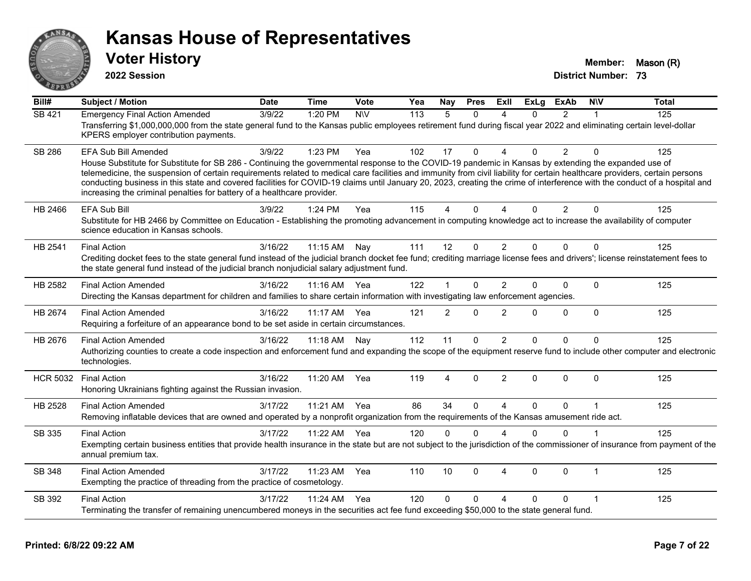

**2022 Session**

**Voter History Member:** Mason (R)

| Bill#           | <b>Subject / Motion</b>                                                                                                                                                                                                                                                                                                                                                                                                                                                                                                                                                                       | <b>Date</b> | <b>Time</b> | Vote       | Yea | Nay            | <b>Pres</b>  | ExII           | <b>ExLg</b>  | <b>ExAb</b>    | <b>NIV</b>   | <b>Total</b> |
|-----------------|-----------------------------------------------------------------------------------------------------------------------------------------------------------------------------------------------------------------------------------------------------------------------------------------------------------------------------------------------------------------------------------------------------------------------------------------------------------------------------------------------------------------------------------------------------------------------------------------------|-------------|-------------|------------|-----|----------------|--------------|----------------|--------------|----------------|--------------|--------------|
| SB 421          | <b>Emergency Final Action Amended</b>                                                                                                                                                                                                                                                                                                                                                                                                                                                                                                                                                         | 3/9/22      | 1:20 PM     | <b>NIV</b> | 113 | 5              | $\Omega$     | Δ              | $\Omega$     | $\overline{2}$ | 1            | 125          |
|                 | Transferring \$1,000,000,000 from the state general fund to the Kansas public employees retirement fund during fiscal year 2022 and eliminating certain level-dollar<br>KPERS employer contribution payments.                                                                                                                                                                                                                                                                                                                                                                                 |             |             |            |     |                |              |                |              |                |              |              |
| <b>SB 286</b>   | EFA Sub Bill Amended                                                                                                                                                                                                                                                                                                                                                                                                                                                                                                                                                                          | 3/9/22      | 1:23 PM     | Yea        | 102 | 17             | $\Omega$     | 4              | $\Omega$     | $\overline{2}$ | $\Omega$     | 125          |
|                 | House Substitute for Substitute for SB 286 - Continuing the governmental response to the COVID-19 pandemic in Kansas by extending the expanded use of<br>telemedicine, the suspension of certain requirements related to medical care facilities and immunity from civil liability for certain healthcare providers, certain persons<br>conducting business in this state and covered facilities for COVID-19 claims until January 20, 2023, creating the crime of interference with the conduct of a hospital and<br>increasing the criminal penalties for battery of a healthcare provider. |             |             |            |     |                |              |                |              |                |              |              |
| HB 2466         | <b>EFA Sub Bill</b>                                                                                                                                                                                                                                                                                                                                                                                                                                                                                                                                                                           | 3/9/22      | 1:24 PM     | Yea        | 115 | 4              | $\Omega$     | Δ              | $\Omega$     | $\overline{2}$ | $\mathbf{0}$ | 125          |
|                 | Substitute for HB 2466 by Committee on Education - Establishing the promoting advancement in computing knowledge act to increase the availability of computer<br>science education in Kansas schools.                                                                                                                                                                                                                                                                                                                                                                                         |             |             |            |     |                |              |                |              |                |              |              |
| HB 2541         | <b>Final Action</b>                                                                                                                                                                                                                                                                                                                                                                                                                                                                                                                                                                           | 3/16/22     | 11:15 AM    | Nay        | 111 | 12             | $\Omega$     | $\overline{2}$ | $\Omega$     | $\Omega$       | $\Omega$     | 125          |
|                 | Crediting docket fees to the state general fund instead of the judicial branch docket fee fund; crediting marriage license fees and drivers'; license reinstatement fees to<br>the state general fund instead of the judicial branch nonjudicial salary adjustment fund.                                                                                                                                                                                                                                                                                                                      |             |             |            |     |                |              |                |              |                |              |              |
| HB 2582         | <b>Final Action Amended</b>                                                                                                                                                                                                                                                                                                                                                                                                                                                                                                                                                                   | 3/16/22     | 11:16 AM    | Yea        | 122 |                | $\Omega$     | $\overline{2}$ | $\Omega$     | $\Omega$       | $\Omega$     | 125          |
|                 | Directing the Kansas department for children and families to share certain information with investigating law enforcement agencies.                                                                                                                                                                                                                                                                                                                                                                                                                                                           |             |             |            |     |                |              |                |              |                |              |              |
| HB 2674         | <b>Final Action Amended</b><br>Requiring a forfeiture of an appearance bond to be set aside in certain circumstances.                                                                                                                                                                                                                                                                                                                                                                                                                                                                         | 3/16/22     | 11:17 AM    | Yea        | 121 | $\overline{2}$ | 0            | $\overline{2}$ | $\Omega$     | 0              | $\mathbf 0$  | 125          |
| HB 2676         | <b>Final Action Amended</b>                                                                                                                                                                                                                                                                                                                                                                                                                                                                                                                                                                   | 3/16/22     | 11:18 AM    | Nay        | 112 | 11             | 0            | 2              | $\Omega$     | 0              | $\Omega$     | 125          |
|                 | Authorizing counties to create a code inspection and enforcement fund and expanding the scope of the equipment reserve fund to include other computer and electronic<br>technologies.                                                                                                                                                                                                                                                                                                                                                                                                         |             |             |            |     |                |              |                |              |                |              |              |
| <b>HCR 5032</b> | <b>Final Action</b>                                                                                                                                                                                                                                                                                                                                                                                                                                                                                                                                                                           | 3/16/22     | 11:20 AM    | Yea        | 119 | 4              | 0            | $\overline{2}$ | $\Omega$     | $\Omega$       | $\mathbf{0}$ | 125          |
|                 | Honoring Ukrainians fighting against the Russian invasion.                                                                                                                                                                                                                                                                                                                                                                                                                                                                                                                                    |             |             |            |     |                |              |                |              |                |              |              |
| HB 2528         | <b>Final Action Amended</b>                                                                                                                                                                                                                                                                                                                                                                                                                                                                                                                                                                   | 3/17/22     | 11:21 AM    | Yea        | 86  | 34             | $\Omega$     | $\Delta$       | $\Omega$     | $\Omega$       | $\mathbf 1$  | 125          |
|                 | Removing inflatable devices that are owned and operated by a nonprofit organization from the requirements of the Kansas amusement ride act.                                                                                                                                                                                                                                                                                                                                                                                                                                                   |             |             |            |     |                |              |                |              |                |              |              |
| SB 335          | <b>Final Action</b>                                                                                                                                                                                                                                                                                                                                                                                                                                                                                                                                                                           | 3/17/22     | 11:22 AM    | Yea        | 120 | $\Omega$       | $\Omega$     | $\Lambda$      | $\Omega$     | 0              | $\mathbf 1$  | 125          |
|                 | Exempting certain business entities that provide health insurance in the state but are not subject to the jurisdiction of the commissioner of insurance from payment of the<br>annual premium tax.                                                                                                                                                                                                                                                                                                                                                                                            |             |             |            |     |                |              |                |              |                |              |              |
| SB 348          | <b>Final Action Amended</b>                                                                                                                                                                                                                                                                                                                                                                                                                                                                                                                                                                   | 3/17/22     | 11:23 AM    | Yea        | 110 | 10             | $\mathbf{0}$ | $\overline{4}$ | $\mathbf{0}$ | $\Omega$       | $\mathbf{1}$ | 125          |
|                 | Exempting the practice of threading from the practice of cosmetology.                                                                                                                                                                                                                                                                                                                                                                                                                                                                                                                         |             |             |            |     |                |              |                |              |                |              |              |
| SB 392          | <b>Final Action</b>                                                                                                                                                                                                                                                                                                                                                                                                                                                                                                                                                                           | 3/17/22     | 11:24 AM    | Yea        | 120 | $\Omega$       | $\Omega$     | Δ              | $\Omega$     | 0              | 1            | 125          |
|                 | Terminating the transfer of remaining unencumbered moneys in the securities act fee fund exceeding \$50,000 to the state general fund.                                                                                                                                                                                                                                                                                                                                                                                                                                                        |             |             |            |     |                |              |                |              |                |              |              |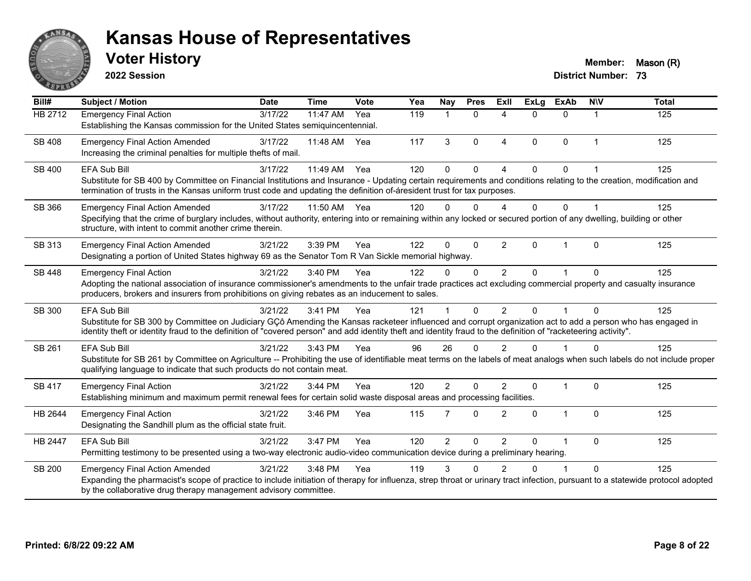

**2022 Session**

**Voter History Member:** Mason (R)

| Bill#          | <b>Subject / Motion</b>                                                                                                                                                                                                                                                                                                        | <b>Date</b> | <b>Time</b> | Vote | $\overline{Y}$ ea | Nay            | <b>Pres</b>  | Exll           | <b>ExLg</b>  | <b>ExAb</b>    | <b>NIV</b>     | <b>Total</b> |
|----------------|--------------------------------------------------------------------------------------------------------------------------------------------------------------------------------------------------------------------------------------------------------------------------------------------------------------------------------|-------------|-------------|------|-------------------|----------------|--------------|----------------|--------------|----------------|----------------|--------------|
| <b>HB 2712</b> | <b>Emergency Final Action</b>                                                                                                                                                                                                                                                                                                  | 3/17/22     | 11:47 AM    | Yea  | 119               |                | $\Omega$     | $\Delta$       | 0            | $\Omega$       |                | 125          |
|                | Establishing the Kansas commission for the United States semiquincentennial.                                                                                                                                                                                                                                                   |             |             |      |                   |                |              |                |              |                |                |              |
| <b>SB 408</b>  | <b>Emergency Final Action Amended</b>                                                                                                                                                                                                                                                                                          | 3/17/22     | 11:48 AM    | Yea  | 117               | 3              | $\mathbf{0}$ | $\overline{4}$ | $\Omega$     | 0              | $\overline{1}$ | 125          |
|                | Increasing the criminal penalties for multiple thefts of mail.                                                                                                                                                                                                                                                                 |             |             |      |                   |                |              |                |              |                |                |              |
| SB 400         | <b>EFA Sub Bill</b>                                                                                                                                                                                                                                                                                                            | 3/17/22     | 11:49 AM    | Yea  | 120               | $\Omega$       | $\Omega$     |                | $\Omega$     | $\Omega$       |                | 125          |
|                | Substitute for SB 400 by Committee on Financial Institutions and Insurance - Updating certain requirements and conditions relating to the creation, modification and                                                                                                                                                           |             |             |      |                   |                |              |                |              |                |                |              |
|                | termination of trusts in the Kansas uniform trust code and updating the definition of-áresident trust for tax purposes.                                                                                                                                                                                                        |             |             |      |                   |                |              |                |              |                |                |              |
| SB 366         | <b>Emergency Final Action Amended</b>                                                                                                                                                                                                                                                                                          | 3/17/22     | 11:50 AM    | Yea  | 120               | $\Omega$       | $\Omega$     | Δ              | $\Omega$     | $\Omega$       |                | 125          |
|                | Specifying that the crime of burglary includes, without authority, entering into or remaining within any locked or secured portion of any dwelling, building or other                                                                                                                                                          |             |             |      |                   |                |              |                |              |                |                |              |
|                | structure, with intent to commit another crime therein.                                                                                                                                                                                                                                                                        |             |             |      |                   |                |              |                |              |                |                |              |
| SB 313         | <b>Emergency Final Action Amended</b>                                                                                                                                                                                                                                                                                          | 3/21/22     | 3:39 PM     | Yea  | 122               | $\Omega$       | $\Omega$     | 2              | $\Omega$     | $\overline{1}$ | $\Omega$       | 125          |
|                | Designating a portion of United States highway 69 as the Senator Tom R Van Sickle memorial highway.                                                                                                                                                                                                                            |             |             |      |                   |                |              |                |              |                |                |              |
| SB 448         | <b>Emergency Final Action</b>                                                                                                                                                                                                                                                                                                  | 3/21/22     | 3:40 PM     | Yea  | 122               | $\Omega$       | $\Omega$     | 2              | $\Omega$     |                | $\Omega$       | 125          |
|                | Adopting the national association of insurance commissioner's amendments to the unfair trade practices act excluding commercial property and casualty insurance                                                                                                                                                                |             |             |      |                   |                |              |                |              |                |                |              |
|                | producers, brokers and insurers from prohibitions on giving rebates as an inducement to sales.                                                                                                                                                                                                                                 |             |             |      |                   |                |              |                |              |                |                |              |
| SB 300         | <b>EFA Sub Bill</b>                                                                                                                                                                                                                                                                                                            | 3/21/22     | 3:41 PM     | Yea  | 121               |                | $\Omega$     | $\mathfrak{p}$ | $\Omega$     | $\overline{1}$ | $\Omega$       | 125          |
|                | Substitute for SB 300 by Committee on Judiciary GCô Amending the Kansas racketeer influenced and corrupt organization act to add a person who has engaged in<br>identity theft or identity fraud to the definition of "covered person" and add identity theft and identity fraud to the definition of "racketeering activity". |             |             |      |                   |                |              |                |              |                |                |              |
|                |                                                                                                                                                                                                                                                                                                                                |             |             |      |                   |                |              |                |              |                |                |              |
| SB 261         | <b>EFA Sub Bill</b>                                                                                                                                                                                                                                                                                                            | 3/21/22     | 3:43 PM     | Yea  | 96                | 26             | $\Omega$     | $\mathcal{P}$  | $\Omega$     |                | $\Omega$       | 125          |
|                | Substitute for SB 261 by Committee on Agriculture -- Prohibiting the use of identifiable meat terms on the labels of meat analogs when such labels do not include proper<br>qualifying language to indicate that such products do not contain meat.                                                                            |             |             |      |                   |                |              |                |              |                |                |              |
|                |                                                                                                                                                                                                                                                                                                                                |             |             |      |                   |                | $\Omega$     | $\mathfrak{p}$ |              | $\overline{1}$ |                |              |
| <b>SB 417</b>  | <b>Emergency Final Action</b><br>Establishing minimum and maximum permit renewal fees for certain solid waste disposal areas and processing facilities.                                                                                                                                                                        | 3/21/22     | 3:44 PM     | Yea  | 120               | $\overline{2}$ |              |                | $\Omega$     |                | $\Omega$       | 125          |
|                |                                                                                                                                                                                                                                                                                                                                |             |             |      |                   |                |              |                |              |                |                |              |
| HB 2644        | <b>Emergency Final Action</b>                                                                                                                                                                                                                                                                                                  | 3/21/22     | 3:46 PM     | Yea  | 115               | 7              | $\Omega$     | $\overline{2}$ | $\mathbf{0}$ | 1              | $\mathbf{0}$   | 125          |
|                | Designating the Sandhill plum as the official state fruit.                                                                                                                                                                                                                                                                     |             |             |      |                   |                |              |                |              |                |                |              |
| HB 2447        | <b>EFA Sub Bill</b>                                                                                                                                                                                                                                                                                                            | 3/21/22     | 3:47 PM     | Yea  | 120               | $\overline{2}$ | $\Omega$     | 2              | $\Omega$     |                | $\Omega$       | 125          |
|                | Permitting testimony to be presented using a two-way electronic audio-video communication device during a preliminary hearing.                                                                                                                                                                                                 |             |             |      |                   |                |              |                |              |                |                |              |
| <b>SB 200</b>  | <b>Emergency Final Action Amended</b>                                                                                                                                                                                                                                                                                          | 3/21/22     | 3:48 PM     | Yea  | 119               | 3              | ∩            |                | n            |                | $\Omega$       | 125          |
|                | Expanding the pharmacist's scope of practice to include initiation of therapy for influenza, strep throat or urinary tract infection, pursuant to a statewide protocol adopted                                                                                                                                                 |             |             |      |                   |                |              |                |              |                |                |              |
|                | by the collaborative drug therapy management advisory committee.                                                                                                                                                                                                                                                               |             |             |      |                   |                |              |                |              |                |                |              |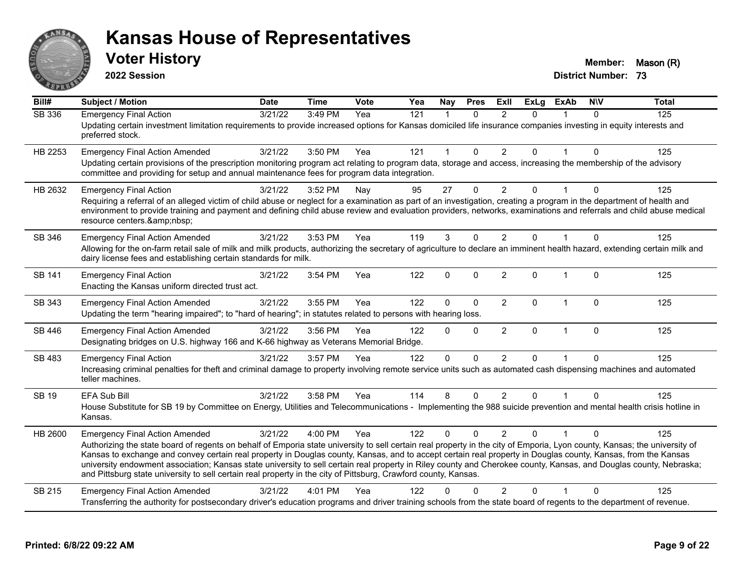

**2022 Session**

**Voter History Member:** Mason (R)

| Bill#         | <b>Subject / Motion</b>                                                                                                                                                                                                                                                                                                                                                                                                                                                                                                                                                                                                                                                      | <b>Date</b> | <b>Time</b> | Vote | Yea | Nay            | <b>Pres</b>  | ExII           | <b>ExLg</b> | <b>ExAb</b>  | <b>NIV</b>   | <b>Total</b> |
|---------------|------------------------------------------------------------------------------------------------------------------------------------------------------------------------------------------------------------------------------------------------------------------------------------------------------------------------------------------------------------------------------------------------------------------------------------------------------------------------------------------------------------------------------------------------------------------------------------------------------------------------------------------------------------------------------|-------------|-------------|------|-----|----------------|--------------|----------------|-------------|--------------|--------------|--------------|
| <b>SB 336</b> | <b>Emergency Final Action</b><br>Updating certain investment limitation requirements to provide increased options for Kansas domiciled life insurance companies investing in equity interests and<br>preferred stock.                                                                                                                                                                                                                                                                                                                                                                                                                                                        | 3/21/22     | 3:49 PM     | Yea  | 121 | $\overline{1}$ | $\Omega$     | $\mathfrak{p}$ | $\Omega$    |              | $\Omega$     | 125          |
| HB 2253       | <b>Emergency Final Action Amended</b><br>Updating certain provisions of the prescription monitoring program act relating to program data, storage and access, increasing the membership of the advisory<br>committee and providing for setup and annual maintenance fees for program data integration.                                                                                                                                                                                                                                                                                                                                                                       | 3/21/22     | 3:50 PM     | Yea  | 121 | 1              | $\mathbf{0}$ | $\overline{2}$ | 0           |              | $\Omega$     | 125          |
| HB 2632       | <b>Emergency Final Action</b><br>Requiring a referral of an alleged victim of child abuse or neglect for a examination as part of an investigation, creating a program in the department of health and<br>environment to provide training and payment and defining child abuse review and evaluation providers, networks, examinations and referrals and child abuse medical<br>resource centers.                                                                                                                                                                                                                                                                            | 3/21/22     | 3:52 PM     | Nay  | 95  | 27             | $\Omega$     | $\overline{2}$ | 0           |              | $\Omega$     | 125          |
| SB 346        | <b>Emergency Final Action Amended</b><br>Allowing for the on-farm retail sale of milk and milk products, authorizing the secretary of agriculture to declare an imminent health hazard, extending certain milk and<br>dairy license fees and establishing certain standards for milk.                                                                                                                                                                                                                                                                                                                                                                                        | 3/21/22     | 3:53 PM     | Yea  | 119 | 3              | $\mathbf{0}$ | 2              | $\Omega$    |              | $\Omega$     | 125          |
| SB 141        | <b>Emergency Final Action</b><br>Enacting the Kansas uniform directed trust act.                                                                                                                                                                                                                                                                                                                                                                                                                                                                                                                                                                                             | 3/21/22     | 3:54 PM     | Yea  | 122 | $\Omega$       | $\mathbf{0}$ | 2              | $\Omega$    | -1           | $\mathbf{0}$ | 125          |
| SB 343        | <b>Emergency Final Action Amended</b><br>Updating the term "hearing impaired"; to "hard of hearing"; in statutes related to persons with hearing loss.                                                                                                                                                                                                                                                                                                                                                                                                                                                                                                                       | 3/21/22     | 3:55 PM     | Yea  | 122 | $\Omega$       | $\mathbf{0}$ | $\overline{2}$ | $\Omega$    |              | $\mathbf{0}$ | 125          |
| SB 446        | <b>Emergency Final Action Amended</b><br>Designating bridges on U.S. highway 166 and K-66 highway as Veterans Memorial Bridge.                                                                                                                                                                                                                                                                                                                                                                                                                                                                                                                                               | 3/21/22     | 3:56 PM     | Yea  | 122 | $\Omega$       | $\mathbf{0}$ | $\overline{2}$ | $\Omega$    | $\mathbf{1}$ | $\mathbf{0}$ | 125          |
| SB 483        | <b>Emergency Final Action</b><br>Increasing criminal penalties for theft and criminal damage to property involving remote service units such as automated cash dispensing machines and automated<br>teller machines.                                                                                                                                                                                                                                                                                                                                                                                                                                                         | 3/21/22     | 3:57 PM     | Yea  | 122 | $\mathbf{0}$   | $\Omega$     | $\overline{2}$ | 0           |              | $\Omega$     | 125          |
| <b>SB 19</b>  | EFA Sub Bill<br>House Substitute for SB 19 by Committee on Energy, Utilities and Telecommunications - Implementing the 988 suicide prevention and mental health crisis hotline in<br>Kansas.                                                                                                                                                                                                                                                                                                                                                                                                                                                                                 | 3/21/22     | 3:58 PM     | Yea  | 114 | 8              | $\Omega$     | $\overline{2}$ | 0           |              | $\Omega$     | 125          |
| HB 2600       | <b>Emergency Final Action Amended</b><br>Authorizing the state board of regents on behalf of Emporia state university to sell certain real property in the city of Emporia, Lyon county, Kansas; the university of<br>Kansas to exchange and convey certain real property in Douglas county, Kansas, and to accept certain real property in Douglas county, Kansas, from the Kansas<br>university endowment association; Kansas state university to sell certain real property in Riley county and Cherokee county, Kansas, and Douglas county, Nebraska;<br>and Pittsburg state university to sell certain real property in the city of Pittsburg, Crawford county, Kansas. | 3/21/22     | 4:00 PM     | Yea  | 122 | $\Omega$       | $\Omega$     | $\mathcal{P}$  | $\Omega$    |              | $\Omega$     | 125          |
| SB 215        | <b>Emergency Final Action Amended</b><br>Transferring the authority for postsecondary driver's education programs and driver training schools from the state board of regents to the department of revenue.                                                                                                                                                                                                                                                                                                                                                                                                                                                                  | 3/21/22     | 4:01 PM     | Yea  | 122 | ŋ              |              | $\overline{2}$ | 0           |              | $\Omega$     | 125          |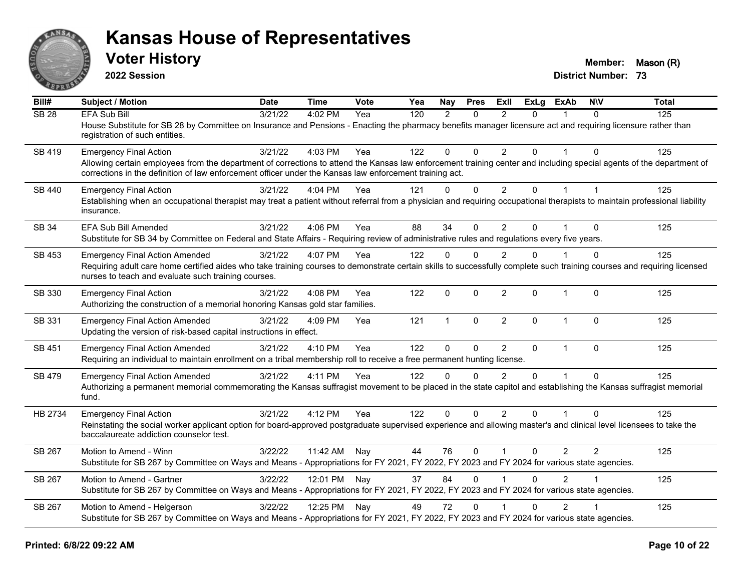

**2022 Session**

**Voter History Member:** Mason (R)

| Bill#            | <b>Subject / Motion</b>                                                                                                                                                                                                                                                         | Date    | <b>Time</b>  | <b>Vote</b> | Yea | Nay          | <b>Pres</b>  | ExII           | <b>ExLg</b> | <b>ExAb</b>    | <b>NIV</b> | <b>Total</b> |
|------------------|---------------------------------------------------------------------------------------------------------------------------------------------------------------------------------------------------------------------------------------------------------------------------------|---------|--------------|-------------|-----|--------------|--------------|----------------|-------------|----------------|------------|--------------|
| SB <sub>28</sub> | <b>EFA Sub Bill</b>                                                                                                                                                                                                                                                             | 3/21/22 | 4:02 PM      | Yea         | 120 | 2            | $\Omega$     | $\mathcal{P}$  | $\Omega$    |                | $\Omega$   | 125          |
|                  | House Substitute for SB 28 by Committee on Insurance and Pensions - Enacting the pharmacy benefits manager licensure act and requiring licensure rather than<br>registration of such entities.                                                                                  |         |              |             |     |              |              |                |             |                |            |              |
| SB 419           | <b>Emergency Final Action</b>                                                                                                                                                                                                                                                   | 3/21/22 | 4:03 PM      | Yea         | 122 | $\mathbf 0$  | $\Omega$     | $\overline{2}$ | $\Omega$    |                | $\Omega$   | 125          |
|                  | Allowing certain employees from the department of corrections to attend the Kansas law enforcement training center and including special agents of the department of<br>corrections in the definition of law enforcement officer under the Kansas law enforcement training act. |         |              |             |     |              |              |                |             |                |            |              |
| SB 440           | <b>Emergency Final Action</b>                                                                                                                                                                                                                                                   | 3/21/22 | 4:04 PM      | Yea         | 121 | $\mathbf 0$  | $\mathbf 0$  | $\overline{2}$ | $\Omega$    | $\mathbf{1}$   |            | 125          |
|                  | Establishing when an occupational therapist may treat a patient without referral from a physician and requiring occupational therapists to maintain professional liability<br>insurance.                                                                                        |         |              |             |     |              |              |                |             |                |            |              |
| SB 34            | EFA Sub Bill Amended                                                                                                                                                                                                                                                            | 3/21/22 | 4:06 PM      | Yea         | 88  | 34           | $\Omega$     | 2              | 0           |                | $\Omega$   | 125          |
|                  | Substitute for SB 34 by Committee on Federal and State Affairs - Requiring review of administrative rules and regulations every five years.                                                                                                                                     |         |              |             |     |              |              |                |             |                |            |              |
| SB 453           | <b>Emergency Final Action Amended</b>                                                                                                                                                                                                                                           | 3/21/22 | 4:07 PM      | Yea         | 122 | $\mathbf{0}$ | $\Omega$     | 2              | $\Omega$    |                | $\Omega$   | 125          |
|                  | Requiring adult care home certified aides who take training courses to demonstrate certain skills to successfully complete such training courses and requiring licensed<br>nurses to teach and evaluate such training courses.                                                  |         |              |             |     |              |              |                |             |                |            |              |
| SB 330           | <b>Emergency Final Action</b><br>Authorizing the construction of a memorial honoring Kansas gold star families.                                                                                                                                                                 | 3/21/22 | 4:08 PM      | Yea         | 122 | $\Omega$     | $\mathbf{0}$ | $\overline{2}$ | $\Omega$    | $\mathbf{1}$   | $\Omega$   | 125          |
| SB 331           | <b>Emergency Final Action Amended</b><br>Updating the version of risk-based capital instructions in effect.                                                                                                                                                                     | 3/21/22 | 4:09 PM      | Yea         | 121 | $\mathbf{1}$ | $\mathbf 0$  | $\overline{2}$ | $\Omega$    | $\overline{1}$ | $\Omega$   | 125          |
| SB 451           | <b>Emergency Final Action Amended</b>                                                                                                                                                                                                                                           | 3/21/22 | 4:10 PM      | Yea         | 122 | $\mathbf 0$  | $\mathbf 0$  | 2              | $\Omega$    | $\mathbf{1}$   | $\Omega$   | 125          |
|                  | Requiring an individual to maintain enrollment on a tribal membership roll to receive a free permanent hunting license.                                                                                                                                                         |         |              |             |     |              |              |                |             |                |            |              |
| SB 479           | <b>Emergency Final Action Amended</b>                                                                                                                                                                                                                                           | 3/21/22 | 4:11 PM      | Yea         | 122 | $\Omega$     | $\Omega$     | $\mathfrak{p}$ | $\Omega$    |                | $\Omega$   | 125          |
|                  | Authorizing a permanent memorial commemorating the Kansas suffragist movement to be placed in the state capitol and establishing the Kansas suffragist memorial<br>fund.                                                                                                        |         |              |             |     |              |              |                |             |                |            |              |
| HB 2734          | <b>Emergency Final Action</b>                                                                                                                                                                                                                                                   | 3/21/22 | 4:12 PM      | Yea         | 122 | $\Omega$     | $\Omega$     | $\overline{2}$ | $\Omega$    |                | $\Omega$   | 125          |
|                  | Reinstating the social worker applicant option for board-approved postgraduate supervised experience and allowing master's and clinical level licensees to take the<br>baccalaureate addiction counselor test.                                                                  |         |              |             |     |              |              |                |             |                |            |              |
| SB 267           | Motion to Amend - Winn                                                                                                                                                                                                                                                          | 3/22/22 | 11:42 AM     | Nay         | 44  | 76           | $\Omega$     |                | 0           | $\overline{2}$ | 2          | 125          |
|                  | Substitute for SB 267 by Committee on Ways and Means - Appropriations for FY 2021, FY 2022, FY 2023 and FY 2024 for various state agencies.                                                                                                                                     |         |              |             |     |              |              |                |             |                |            |              |
| SB 267           | Motion to Amend - Gartner                                                                                                                                                                                                                                                       | 3/22/22 | 12:01 PM Nay |             | 37  | 84           | $\Omega$     |                | 0           | $\overline{2}$ |            | 125          |
|                  | Substitute for SB 267 by Committee on Ways and Means - Appropriations for FY 2021, FY 2022, FY 2023 and FY 2024 for various state agencies.                                                                                                                                     |         |              |             |     |              |              |                |             |                |            |              |
| SB 267           | Motion to Amend - Helgerson                                                                                                                                                                                                                                                     | 3/22/22 | 12:25 PM Nay |             | 49  | 72           | $\mathbf{0}$ |                | 0           | $\overline{2}$ |            | 125          |
|                  | Substitute for SB 267 by Committee on Ways and Means - Appropriations for FY 2021, FY 2022, FY 2023 and FY 2024 for various state agencies.                                                                                                                                     |         |              |             |     |              |              |                |             |                |            |              |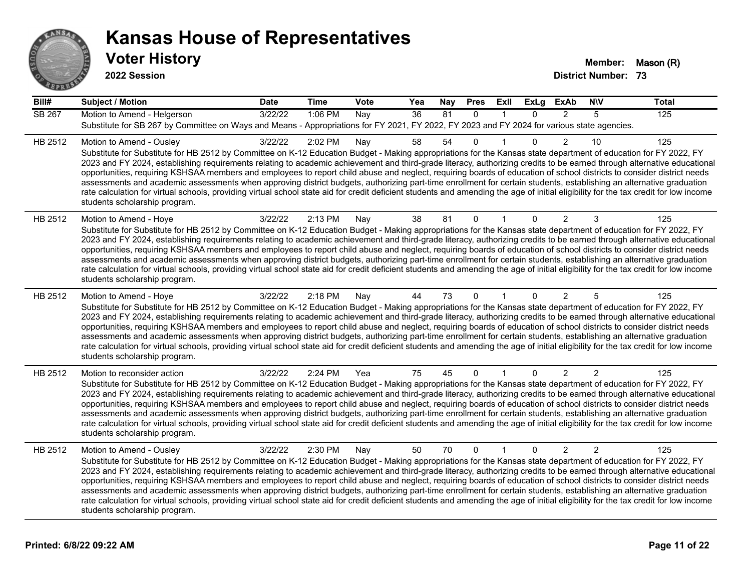

| Bill#         | <b>Subject / Motion</b>                                                                                                                                                                                                                                                                                                                                                                                                                                                                                                                                                                                                                                                                                                                                                                                                                                                                                                                             | <b>Date</b> | <b>Time</b> | <b>Vote</b> | Yea             | <b>Nay</b> | <b>Pres</b>  | ExII         | <b>ExLg</b>  | <b>ExAb</b>    | <b>NIV</b>     | <b>Total</b> |
|---------------|-----------------------------------------------------------------------------------------------------------------------------------------------------------------------------------------------------------------------------------------------------------------------------------------------------------------------------------------------------------------------------------------------------------------------------------------------------------------------------------------------------------------------------------------------------------------------------------------------------------------------------------------------------------------------------------------------------------------------------------------------------------------------------------------------------------------------------------------------------------------------------------------------------------------------------------------------------|-------------|-------------|-------------|-----------------|------------|--------------|--------------|--------------|----------------|----------------|--------------|
| <b>SB 267</b> | Motion to Amend - Helgerson<br>Substitute for SB 267 by Committee on Ways and Means - Appropriations for FY 2021, FY 2022, FY 2023 and FY 2024 for various state agencies.                                                                                                                                                                                                                                                                                                                                                                                                                                                                                                                                                                                                                                                                                                                                                                          | 3/22/22     | 1:06 PM     | Nay         | $\overline{36}$ | 81         | $\Omega$     | $\mathbf{1}$ | $\Omega$     | 2              | 5              | 125          |
| HB 2512       | Motion to Amend - Ousley<br>Substitute for Substitute for HB 2512 by Committee on K-12 Education Budget - Making appropriations for the Kansas state department of education for FY 2022, FY<br>2023 and FY 2024, establishing requirements relating to academic achievement and third-grade literacy, authorizing credits to be earned through alternative educational<br>opportunities, requiring KSHSAA members and employees to report child abuse and neglect, requiring boards of education of school districts to consider district needs<br>assessments and academic assessments when approving district budgets, authorizing part-time enrollment for certain students, establishing an alternative graduation<br>rate calculation for virtual schools, providing virtual school state aid for credit deficient students and amending the age of initial eligibility for the tax credit for low income<br>students scholarship program.    | 3/22/22     | 2:02 PM     | Nay         | 58              | 54         | 0            |              | $\mathbf{0}$ | $\overline{2}$ | 10             | 125          |
| HB 2512       | Motion to Amend - Hoye<br>Substitute for Substitute for HB 2512 by Committee on K-12 Education Budget - Making appropriations for the Kansas state department of education for FY 2022, FY<br>2023 and FY 2024, establishing requirements relating to academic achievement and third-grade literacy, authorizing credits to be earned through alternative educational<br>opportunities, requiring KSHSAA members and employees to report child abuse and neglect, requiring boards of education of school districts to consider district needs<br>assessments and academic assessments when approving district budgets, authorizing part-time enrollment for certain students, establishing an alternative graduation<br>rate calculation for virtual schools, providing virtual school state aid for credit deficient students and amending the age of initial eligibility for the tax credit for low income<br>students scholarship program.      | 3/22/22     | 2:13 PM     | Nay         | 38              | 81         | $\mathbf{0}$ |              | $\Omega$     | $\overline{c}$ | 3              | 125          |
| HB 2512       | Motion to Amend - Hoye<br>Substitute for Substitute for HB 2512 by Committee on K-12 Education Budget - Making appropriations for the Kansas state department of education for FY 2022, FY<br>2023 and FY 2024, establishing requirements relating to academic achievement and third-grade literacy, authorizing credits to be earned through alternative educational<br>opportunities, requiring KSHSAA members and employees to report child abuse and neglect, requiring boards of education of school districts to consider district needs<br>assessments and academic assessments when approving district budgets, authorizing part-time enrollment for certain students, establishing an alternative graduation<br>rate calculation for virtual schools, providing virtual school state aid for credit deficient students and amending the age of initial eligibility for the tax credit for low income<br>students scholarship program.      | 3/22/22     | 2:18 PM     | Nay         | 44              | 73         | $\mathbf{0}$ |              | $\Omega$     | 2              | 5              | 125          |
| HB 2512       | Motion to reconsider action<br>Substitute for Substitute for HB 2512 by Committee on K-12 Education Budget - Making appropriations for the Kansas state department of education for FY 2022, FY<br>2023 and FY 2024, establishing requirements relating to academic achievement and third-grade literacy, authorizing credits to be earned through alternative educational<br>opportunities, requiring KSHSAA members and employees to report child abuse and neglect, requiring boards of education of school districts to consider district needs<br>assessments and academic assessments when approving district budgets, authorizing part-time enrollment for certain students, establishing an alternative graduation<br>rate calculation for virtual schools, providing virtual school state aid for credit deficient students and amending the age of initial eligibility for the tax credit for low income<br>students scholarship program. | 3/22/22     | 2:24 PM     | Yea         | 75              | 45         | $\Omega$     |              | 0            | 2              | 2              | 125          |
| HB 2512       | Motion to Amend - Ousley<br>Substitute for Substitute for HB 2512 by Committee on K-12 Education Budget - Making appropriations for the Kansas state department of education for FY 2022, FY<br>2023 and FY 2024, establishing requirements relating to academic achievement and third-grade literacy, authorizing credits to be earned through alternative educational<br>opportunities, requiring KSHSAA members and employees to report child abuse and neglect, requiring boards of education of school districts to consider district needs<br>assessments and academic assessments when approving district budgets, authorizing part-time enrollment for certain students, establishing an alternative graduation<br>rate calculation for virtual schools, providing virtual school state aid for credit deficient students and amending the age of initial eligibility for the tax credit for low income<br>students scholarship program.    | 3/22/22     | 2:30 PM     | Nay         | 50              | 70         | $\mathbf{0}$ | $\mathbf{1}$ | $\Omega$     | $\overline{2}$ | $\overline{2}$ | 125          |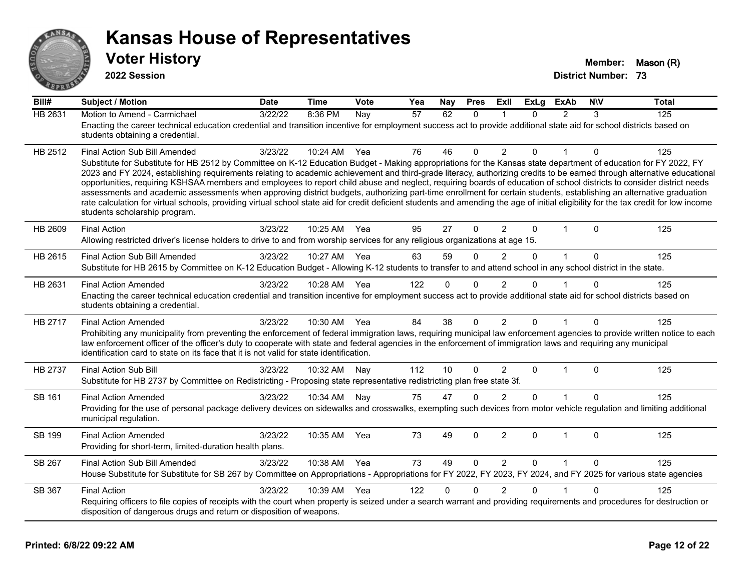

**2022 Session**

| Bill#          | <b>Subject / Motion</b>                                                                                                                                                                                                                                                                                                                                                                                                                                                                                                                                                                                                                                                                                                                                                                                                                                                                                                                               | <b>Date</b> | <b>Time</b> | Vote | Yea | Nay      | <b>Pres</b>  | Exll           | <b>ExLg</b>  | <b>ExAb</b>    | <b>NIV</b> | <b>Total</b> |
|----------------|-------------------------------------------------------------------------------------------------------------------------------------------------------------------------------------------------------------------------------------------------------------------------------------------------------------------------------------------------------------------------------------------------------------------------------------------------------------------------------------------------------------------------------------------------------------------------------------------------------------------------------------------------------------------------------------------------------------------------------------------------------------------------------------------------------------------------------------------------------------------------------------------------------------------------------------------------------|-------------|-------------|------|-----|----------|--------------|----------------|--------------|----------------|------------|--------------|
| <b>HB 2631</b> | Motion to Amend - Carmichael<br>Enacting the career technical education credential and transition incentive for employment success act to provide additional state aid for school districts based on<br>students obtaining a credential.                                                                                                                                                                                                                                                                                                                                                                                                                                                                                                                                                                                                                                                                                                              | 3/22/22     | 8:36 PM     | Nay  | 57  | 62       | $\mathbf{0}$ | $\mathbf 1$    | 0            | $\overline{2}$ | 3          | 125          |
| HB 2512        | Final Action Sub Bill Amended<br>Substitute for Substitute for HB 2512 by Committee on K-12 Education Budget - Making appropriations for the Kansas state department of education for FY 2022, FY<br>2023 and FY 2024, establishing requirements relating to academic achievement and third-grade literacy, authorizing credits to be earned through alternative educational<br>opportunities, requiring KSHSAA members and employees to report child abuse and neglect, requiring boards of education of school districts to consider district needs<br>assessments and academic assessments when approving district budgets, authorizing part-time enrollment for certain students, establishing an alternative graduation<br>rate calculation for virtual schools, providing virtual school state aid for credit deficient students and amending the age of initial eligibility for the tax credit for low income<br>students scholarship program. | 3/23/22     | 10:24 AM    | Yea  | 76  | 46       | $\Omega$     | 2              | $\Omega$     | 1              | 0          | 125          |
| HB 2609        | <b>Final Action</b><br>Allowing restricted driver's license holders to drive to and from worship services for any religious organizations at age 15.                                                                                                                                                                                                                                                                                                                                                                                                                                                                                                                                                                                                                                                                                                                                                                                                  | 3/23/22     | 10:25 AM    | Yea  | 95  | 27       | $\Omega$     | $\overline{2}$ | $\Omega$     | $\mathbf 1$    | $\Omega$   | 125          |
| HB 2615        | Final Action Sub Bill Amended<br>Substitute for HB 2615 by Committee on K-12 Education Budget - Allowing K-12 students to transfer to and attend school in any school district in the state.                                                                                                                                                                                                                                                                                                                                                                                                                                                                                                                                                                                                                                                                                                                                                          | 3/23/22     | 10:27 AM    | Yea  | 63  | 59       | $\Omega$     | $\overline{2}$ | $\Omega$     | $\mathbf{1}$   | $\Omega$   | 125          |
| HB 2631        | <b>Final Action Amended</b><br>Enacting the career technical education credential and transition incentive for employment success act to provide additional state aid for school districts based on<br>students obtaining a credential.                                                                                                                                                                                                                                                                                                                                                                                                                                                                                                                                                                                                                                                                                                               | 3/23/22     | 10:28 AM    | Yea  | 122 | 0        | 0            | 2              | 0            |                | $\Omega$   | 125          |
| HB 2717        | <b>Final Action Amended</b><br>Prohibiting any municipality from preventing the enforcement of federal immigration laws, requiring municipal law enforcement agencies to provide written notice to each<br>law enforcement officer of the officer's duty to cooperate with state and federal agencies in the enforcement of immigration laws and requiring any municipal<br>identification card to state on its face that it is not valid for state identification.                                                                                                                                                                                                                                                                                                                                                                                                                                                                                   | 3/23/22     | 10:30 AM    | Yea  | 84  | 38       | $\Omega$     | $\overline{2}$ | $\mathbf{0}$ | $\mathbf{1}$   | $\Omega$   | 125          |
| HB 2737        | <b>Final Action Sub Bill</b><br>Substitute for HB 2737 by Committee on Redistricting - Proposing state representative redistricting plan free state 3f.                                                                                                                                                                                                                                                                                                                                                                                                                                                                                                                                                                                                                                                                                                                                                                                               | 3/23/22     | 10:32 AM    | Nay  | 112 | 10       | $\Omega$     | $\overline{2}$ | $\mathbf{0}$ | $\mathbf{1}$   | $\Omega$   | 125          |
| SB 161         | <b>Final Action Amended</b><br>Providing for the use of personal package delivery devices on sidewalks and crosswalks, exempting such devices from motor vehicle regulation and limiting additional<br>municipal regulation.                                                                                                                                                                                                                                                                                                                                                                                                                                                                                                                                                                                                                                                                                                                          | 3/23/22     | 10:34 AM    | Nay  | 75  | 47       | $\Omega$     | 2              | $\Omega$     |                | 0          | 125          |
| SB 199         | <b>Final Action Amended</b><br>Providing for short-term, limited-duration health plans.                                                                                                                                                                                                                                                                                                                                                                                                                                                                                                                                                                                                                                                                                                                                                                                                                                                               | 3/23/22     | 10:35 AM    | Yea  | 73  | 49       | $\Omega$     | $\overline{2}$ | $\mathbf{0}$ | $\mathbf{1}$   | $\Omega$   | 125          |
| SB 267         | Final Action Sub Bill Amended<br>House Substitute for Substitute for SB 267 by Committee on Appropriations - Appropriations for FY 2022, FY 2023, FY 2024, and FY 2025 for various state agencies                                                                                                                                                                                                                                                                                                                                                                                                                                                                                                                                                                                                                                                                                                                                                     | 3/23/22     | 10:38 AM    | Yea  | 73  | 49       | $\mathbf{0}$ | 2              | $\mathbf{0}$ | $\mathbf{1}$   | $\Omega$   | 125          |
| SB 367         | <b>Final Action</b><br>Requiring officers to file copies of receipts with the court when property is seized under a search warrant and providing requirements and procedures for destruction or<br>disposition of dangerous drugs and return or disposition of weapons.                                                                                                                                                                                                                                                                                                                                                                                                                                                                                                                                                                                                                                                                               | 3/23/22     | 10:39 AM    | Yea  | 122 | $\Omega$ | $\Omega$     | $\overline{2}$ | $\Omega$     |                | $\Omega$   | 125          |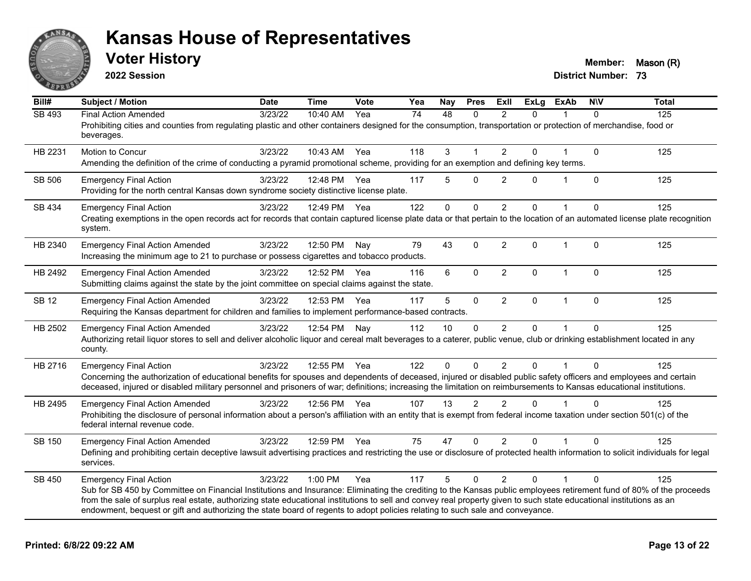

**2022 Session**

**Voter History Member:** Mason (R)

| Bill#         | <b>Subject / Motion</b>                                                                                                                                                                                                                                                                               | <b>Date</b> | <b>Time</b>  | <b>Vote</b> | Yea | Nay | <b>Pres</b> | ExIl           | <b>ExLg</b>  | <b>ExAb</b>    | <b>NIV</b>   | <b>Total</b> |
|---------------|-------------------------------------------------------------------------------------------------------------------------------------------------------------------------------------------------------------------------------------------------------------------------------------------------------|-------------|--------------|-------------|-----|-----|-------------|----------------|--------------|----------------|--------------|--------------|
| <b>SB 493</b> | <b>Final Action Amended</b>                                                                                                                                                                                                                                                                           | 3/23/22     | 10:40 AM     | Yea         | 74  | 48  | $\Omega$    | $\mathcal{P}$  | $\Omega$     |                | $\Omega$     | 125          |
|               | Prohibiting cities and counties from regulating plastic and other containers designed for the consumption, transportation or protection of merchandise, food or<br>beverages.                                                                                                                         |             |              |             |     |     |             |                |              |                |              |              |
| HB 2231       | Motion to Concur                                                                                                                                                                                                                                                                                      | 3/23/22     | 10:43 AM     | Yea         | 118 | 3   |             | $\overline{2}$ | 0            |                | $\mathbf 0$  | 125          |
|               | Amending the definition of the crime of conducting a pyramid promotional scheme, providing for an exemption and defining key terms.                                                                                                                                                                   |             |              |             |     |     |             |                |              |                |              |              |
| SB 506        | <b>Emergency Final Action</b>                                                                                                                                                                                                                                                                         | 3/23/22     | 12:48 PM Yea |             | 117 | 5   | $\Omega$    | 2              | $\Omega$     | $\mathbf 1$    | $\Omega$     | 125          |
|               | Providing for the north central Kansas down syndrome society distinctive license plate.                                                                                                                                                                                                               |             |              |             |     |     |             |                |              |                |              |              |
| SB 434        | <b>Emergency Final Action</b>                                                                                                                                                                                                                                                                         | 3/23/22     | 12:49 PM     | Yea         | 122 | 0   | $\mathbf 0$ | 2              | $\mathbf{0}$ | $\overline{1}$ | $\Omega$     | 125          |
|               | Creating exemptions in the open records act for records that contain captured license plate data or that pertain to the location of an automated license plate recognition<br>system.                                                                                                                 |             |              |             |     |     |             |                |              |                |              |              |
| HB 2340       | <b>Emergency Final Action Amended</b>                                                                                                                                                                                                                                                                 | 3/23/22     | 12:50 PM     | Nay         | 79  | 43  | $\Omega$    | $\overline{2}$ | $\mathbf{0}$ | $\mathbf{1}$   | $\mathbf{0}$ | 125          |
|               | Increasing the minimum age to 21 to purchase or possess cigarettes and tobacco products.                                                                                                                                                                                                              |             |              |             |     |     |             |                |              |                |              |              |
| HB 2492       | <b>Emergency Final Action Amended</b>                                                                                                                                                                                                                                                                 | 3/23/22     | 12:52 PM Yea |             | 116 | 6   | $\mathbf 0$ | $\overline{2}$ | $\Omega$     | $\mathbf 1$    | $\Omega$     | 125          |
|               | Submitting claims against the state by the joint committee on special claims against the state.                                                                                                                                                                                                       |             |              |             |     |     |             |                |              |                |              |              |
| <b>SB 12</b>  | <b>Emergency Final Action Amended</b>                                                                                                                                                                                                                                                                 | 3/23/22     | 12:53 PM     | Yea         | 117 | 5   | $\pmb{0}$   | $\overline{2}$ | 0            | $\mathbf{1}$   | $\mathbf 0$  | 125          |
|               | Requiring the Kansas department for children and families to implement performance-based contracts.                                                                                                                                                                                                   |             |              |             |     |     |             |                |              |                |              |              |
| HB 2502       | <b>Emergency Final Action Amended</b>                                                                                                                                                                                                                                                                 | 3/23/22     | 12:54 PM     | Nay         | 112 | 10  | $\Omega$    | $\overline{2}$ | 0            |                | $\Omega$     | 125          |
|               | Authorizing retail liquor stores to sell and deliver alcoholic liquor and cereal malt beverages to a caterer, public venue, club or drinking establishment located in any<br>county.                                                                                                                  |             |              |             |     |     |             |                |              |                |              |              |
| HB 2716       | <b>Emergency Final Action</b>                                                                                                                                                                                                                                                                         | 3/23/22     | 12:55 PM     | Yea         | 122 | 0   | $\mathbf 0$ | $\overline{2}$ | $\mathbf 0$  |                | $\Omega$     | 125          |
|               | Concerning the authorization of educational benefits for spouses and dependents of deceased, injured or disabled public safety officers and employees and certain                                                                                                                                     |             |              |             |     |     |             |                |              |                |              |              |
|               | deceased, injured or disabled military personnel and prisoners of war; definitions; increasing the limitation on reimbursements to Kansas educational institutions.                                                                                                                                   |             |              |             |     |     |             |                |              |                |              |              |
| HB 2495       | <b>Emergency Final Action Amended</b>                                                                                                                                                                                                                                                                 | 3/23/22     | 12:56 PM Yea |             | 107 | 13  | 2           | 2              | $\Omega$     |                | $\Omega$     | 125          |
|               | Prohibiting the disclosure of personal information about a person's affiliation with an entity that is exempt from federal income taxation under section 501(c) of the<br>federal internal revenue code.                                                                                              |             |              |             |     |     |             |                |              |                |              |              |
| SB 150        | <b>Emergency Final Action Amended</b>                                                                                                                                                                                                                                                                 | 3/23/22     | 12:59 PM Yea |             | 75  | 47  | $\mathbf 0$ | $\overline{2}$ | 0            |                | $\Omega$     | 125          |
|               | Defining and prohibiting certain deceptive lawsuit advertising practices and restricting the use or disclosure of protected health information to solicit individuals for legal<br>services.                                                                                                          |             |              |             |     |     |             |                |              |                |              |              |
| SB 450        | <b>Emergency Final Action</b>                                                                                                                                                                                                                                                                         | 3/23/22     | $1:00$ PM    | Yea         | 117 | 5   | $\Omega$    | $\overline{2}$ | $\Omega$     | 1              | $\Omega$     | 125          |
|               | Sub for SB 450 by Committee on Financial Institutions and Insurance: Eliminating the crediting to the Kansas public employees retirement fund of 80% of the proceeds                                                                                                                                  |             |              |             |     |     |             |                |              |                |              |              |
|               | from the sale of surplus real estate, authorizing state educational institutions to sell and convey real property given to such state educational institutions as an<br>endowment, bequest or gift and authorizing the state board of regents to adopt policies relating to such sale and conveyance. |             |              |             |     |     |             |                |              |                |              |              |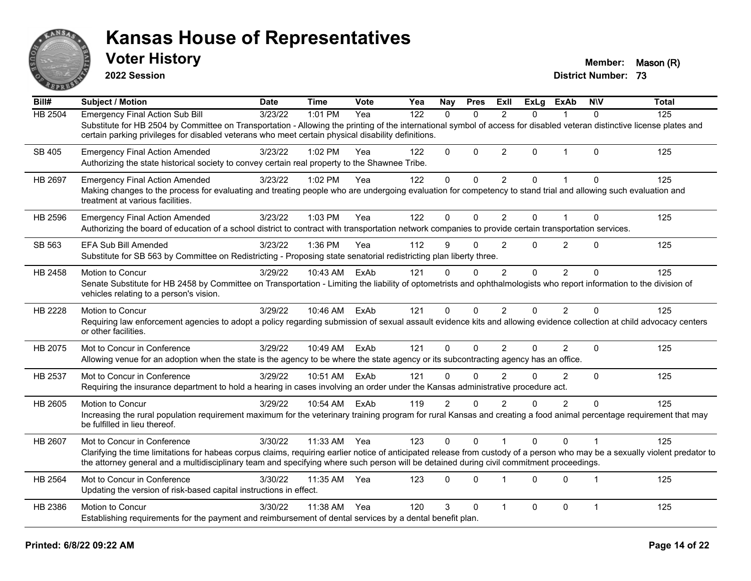

**2022 Session**

**Voter History Member:** Mason (R)

| $\overline{Bill#}$ | <b>Subject / Motion</b>                                                                                                                                                                                                                                                                                                                                 | <b>Date</b> | <b>Time</b> | Vote | Yea | Nay            | <b>Pres</b> | ExII           | <b>ExLg</b> | <b>ExAb</b>    | <b>NIV</b>     | <b>Total</b> |
|--------------------|---------------------------------------------------------------------------------------------------------------------------------------------------------------------------------------------------------------------------------------------------------------------------------------------------------------------------------------------------------|-------------|-------------|------|-----|----------------|-------------|----------------|-------------|----------------|----------------|--------------|
| HB 2504            | <b>Emergency Final Action Sub Bill</b><br>Substitute for HB 2504 by Committee on Transportation - Allowing the printing of the international symbol of access for disabled veteran distinctive license plates and<br>certain parking privileges for disabled veterans who meet certain physical disability definitions.                                 | 3/23/22     | 1:01 PM     | Yea  | 122 | $\Omega$       | $\Omega$    | 2              | 0           |                | $\Omega$       | 125          |
| SB 405             | <b>Emergency Final Action Amended</b><br>Authorizing the state historical society to convey certain real property to the Shawnee Tribe.                                                                                                                                                                                                                 | 3/23/22     | 1:02 PM     | Yea  | 122 | 0              | $\mathbf 0$ | $\overline{2}$ | $\Omega$    | $\mathbf{1}$   | $\Omega$       | 125          |
| HB 2697            | <b>Emergency Final Action Amended</b><br>Making changes to the process for evaluating and treating people who are undergoing evaluation for competency to stand trial and allowing such evaluation and<br>treatment at various facilities.                                                                                                              | 3/23/22     | 1:02 PM     | Yea  | 122 | 0              | $\mathbf 0$ | $\overline{2}$ | 0           | 1              | $\mathbf 0$    | 125          |
| HB 2596            | <b>Emergency Final Action Amended</b><br>Authorizing the board of education of a school district to contract with transportation network companies to provide certain transportation services.                                                                                                                                                          | 3/23/22     | 1:03 PM     | Yea  | 122 | $\Omega$       | $\Omega$    | $\overline{2}$ | $\Omega$    | 1              | $\Omega$       | 125          |
| SB 563             | <b>EFA Sub Bill Amended</b><br>Substitute for SB 563 by Committee on Redistricting - Proposing state senatorial redistricting plan liberty three.                                                                                                                                                                                                       | 3/23/22     | 1:36 PM     | Yea  | 112 | 9              | $\Omega$    | $\overline{2}$ | 0           | $\overline{2}$ | $\Omega$       | 125          |
| HB 2458            | Motion to Concur<br>Senate Substitute for HB 2458 by Committee on Transportation - Limiting the liability of optometrists and ophthalmologists who report information to the division of<br>vehicles relating to a person's vision.                                                                                                                     | 3/29/22     | 10:43 AM    | ExAb | 121 | $\Omega$       | $\Omega$    | 2              | $\Omega$    | $\overline{2}$ | $\Omega$       | 125          |
| HB 2228            | Motion to Concur<br>Requiring law enforcement agencies to adopt a policy regarding submission of sexual assault evidence kits and allowing evidence collection at child advocacy centers<br>or other facilities.                                                                                                                                        | 3/29/22     | 10:46 AM    | ExAb | 121 | $\Omega$       | $\Omega$    | 2              | $\Omega$    | $\overline{2}$ | $\Omega$       | 125          |
| HB 2075            | Mot to Concur in Conference<br>Allowing venue for an adoption when the state is the agency to be where the state agency or its subcontracting agency has an office.                                                                                                                                                                                     | 3/29/22     | 10:49 AM    | ExAb | 121 | $\Omega$       | $\Omega$    | 2              | 0           | $\overline{2}$ | $\Omega$       | 125          |
| HB 2537            | Mot to Concur in Conference<br>Requiring the insurance department to hold a hearing in cases involving an order under the Kansas administrative procedure act.                                                                                                                                                                                          | 3/29/22     | 10:51 AM    | ExAb | 121 | $\Omega$       | $\Omega$    | $\mathfrak{p}$ | 0           | $\overline{2}$ | $\Omega$       | 125          |
| HB 2605            | Motion to Concur<br>Increasing the rural population requirement maximum for the veterinary training program for rural Kansas and creating a food animal percentage requirement that may<br>be fulfilled in lieu thereof.                                                                                                                                | 3/29/22     | 10:54 AM    | ExAb | 119 | $\overline{2}$ | $\Omega$    | $\overline{2}$ | 0           | $\overline{2}$ | $\Omega$       | 125          |
| HB 2607            | Mot to Concur in Conference<br>Clarifying the time limitations for habeas corpus claims, requiring earlier notice of anticipated release from custody of a person who may be a sexually violent predator to<br>the attorney general and a multidisciplinary team and specifying where such person will be detained during civil commitment proceedings. | 3/30/22     | 11:33 AM    | Yea  | 123 | $\mathbf{0}$   | $\mathbf 0$ |                | 0           | $\mathbf 0$    |                | 125          |
| HB 2564            | Mot to Concur in Conference<br>Updating the version of risk-based capital instructions in effect.                                                                                                                                                                                                                                                       | 3/30/22     | 11:35 AM    | Yea  | 123 | $\Omega$       | $\Omega$    | 1              | $\Omega$    | $\Omega$       | $\overline{1}$ | 125          |
| HB 2386            | Motion to Concur<br>Establishing requirements for the payment and reimbursement of dental services by a dental benefit plan.                                                                                                                                                                                                                            | 3/30/22     | 11:38 AM    | Yea  | 120 | 3              | $\Omega$    | $\mathbf 1$    | 0           | 0              | $\mathbf 1$    | 125          |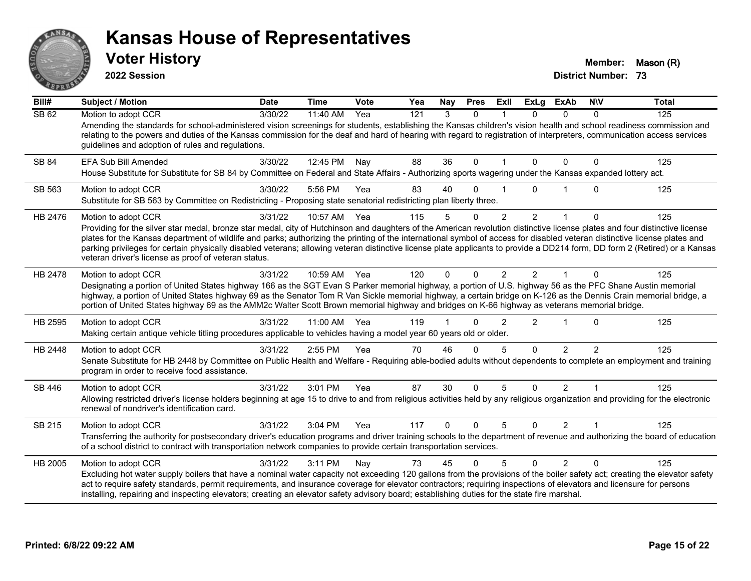

**2022 Session**

**Voter History Member:** Mason (R)

| Bill#   | <b>Subject / Motion</b>                                                                                                                                                                                                                                                                                                                                                                                                                                                                                                                                                                                                 | Date    | <b>Time</b> | Vote | Yea | Nay          | <b>Pres</b>  | ExII           | <b>ExLg</b>    | <b>ExAb</b>    | <b>NIV</b>   | <b>Total</b> |
|---------|-------------------------------------------------------------------------------------------------------------------------------------------------------------------------------------------------------------------------------------------------------------------------------------------------------------------------------------------------------------------------------------------------------------------------------------------------------------------------------------------------------------------------------------------------------------------------------------------------------------------------|---------|-------------|------|-----|--------------|--------------|----------------|----------------|----------------|--------------|--------------|
| SB 62   | Motion to adopt CCR<br>Amending the standards for school-administered vision screenings for students, establishing the Kansas children's vision health and school readiness commission and<br>relating to the powers and duties of the Kansas commission for the deaf and hard of hearing with regard to registration of interpreters, communication access services<br>guidelines and adoption of rules and regulations.                                                                                                                                                                                               | 3/30/22 | 11:40 AM    | Yea  | 121 | 3            | $\Omega$     |                | $\Omega$       | $\Omega$       | $\Omega$     | 125          |
| SB 84   | EFA Sub Bill Amended<br>House Substitute for Substitute for SB 84 by Committee on Federal and State Affairs - Authorizing sports wagering under the Kansas expanded lottery act.                                                                                                                                                                                                                                                                                                                                                                                                                                        | 3/30/22 | 12:45 PM    | Nay  | 88  | 36           | 0            |                | $\Omega$       | $\Omega$       | 0            | 125          |
| SB 563  | Motion to adopt CCR<br>Substitute for SB 563 by Committee on Redistricting - Proposing state senatorial redistricting plan liberty three.                                                                                                                                                                                                                                                                                                                                                                                                                                                                               | 3/30/22 | 5:56 PM     | Yea  | 83  | 40           | $\Omega$     |                | U              |                | 0            | 125          |
| HB 2476 | Motion to adopt CCR<br>Providing for the silver star medal, bronze star medal, city of Hutchinson and daughters of the American revolution distinctive license plates and four distinctive license<br>plates for the Kansas department of wildlife and parks; authorizing the printing of the international symbol of access for disabled veteran distinctive license plates and<br>parking privileges for certain physically disabled veterans; allowing veteran distinctive license plate applicants to provide a DD214 form, DD form 2 (Retired) or a Kansas<br>veteran driver's license as proof of veteran status. | 3/31/22 | 10:57 AM    | Yea  | 115 | 5            | 0            | $\overline{c}$ | $\overline{2}$ |                | 0            | 125          |
| HB 2478 | Motion to adopt CCR<br>Designating a portion of United States highway 166 as the SGT Evan S Parker memorial highway, a portion of U.S. highway 56 as the PFC Shane Austin memorial<br>highway, a portion of United States highway 69 as the Senator Tom R Van Sickle memorial highway, a certain bridge on K-126 as the Dennis Crain memorial bridge, a<br>portion of United States highway 69 as the AMM2c Walter Scott Brown memorial highway and bridges on K-66 highway as veterans memorial bridge.                                                                                                                | 3/31/22 | 10:59 AM    | Yea  | 120 | $\mathbf{0}$ | $\Omega$     | 2              | $\mathcal{P}$  | $\overline{1}$ | $\Omega$     | 125          |
| HB 2595 | Motion to adopt CCR<br>Making certain antique vehicle titling procedures applicable to vehicles having a model year 60 years old or older.                                                                                                                                                                                                                                                                                                                                                                                                                                                                              | 3/31/22 | 11:00 AM    | Yea  | 119 |              | U            | $\mathfrak{p}$ | $\overline{2}$ |                | 0            | 125          |
| HB 2448 | Motion to adopt CCR<br>Senate Substitute for HB 2448 by Committee on Public Health and Welfare - Requiring able-bodied adults without dependents to complete an employment and training<br>program in order to receive food assistance.                                                                                                                                                                                                                                                                                                                                                                                 | 3/31/22 | 2:55 PM     | Yea  | 70  | 46           | $\Omega$     | 5              | $\Omega$       | 2              | 2            | 125          |
| SB 446  | Motion to adopt CCR<br>Allowing restricted driver's license holders beginning at age 15 to drive to and from religious activities held by any religious organization and providing for the electronic<br>renewal of nondriver's identification card.                                                                                                                                                                                                                                                                                                                                                                    | 3/31/22 | 3:01 PM     | Yea  | 87  | 30           | $\Omega$     | 5              | $\Omega$       | $\overline{2}$ |              | 125          |
| SB 215  | Motion to adopt CCR<br>Transferring the authority for postsecondary driver's education programs and driver training schools to the department of revenue and authorizing the board of education<br>of a school district to contract with transportation network companies to provide certain transportation services.                                                                                                                                                                                                                                                                                                   | 3/31/22 | 3:04 PM     | Yea  | 117 | $\mathbf{0}$ | $\mathbf{0}$ | 5              | $\Omega$       | 2              | $\mathbf{1}$ | 125          |
| HB 2005 | Motion to adopt CCR<br>Excluding hot water supply boilers that have a nominal water capacity not exceeding 120 gallons from the provisions of the boiler safety act; creating the elevator safety<br>act to require safety standards, permit requirements, and insurance coverage for elevator contractors; requiring inspections of elevators and licensure for persons<br>installing, repairing and inspecting elevators; creating an elevator safety advisory board; establishing duties for the state fire marshal.                                                                                                 | 3/31/22 | 3:11 PM     | Nay  | 73  | 45           | 0            | 5              | $\Omega$       | $\mathcal{P}$  | $\Omega$     | 125          |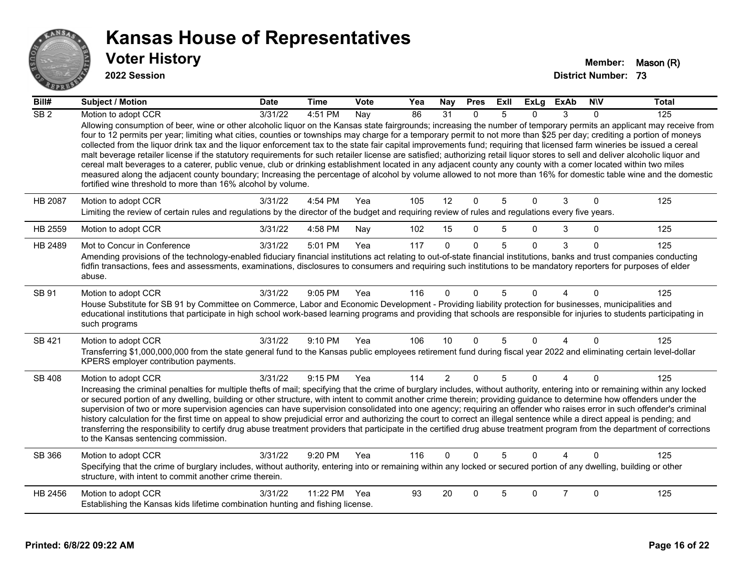

| $\overline{Bill#}$ | <b>Subject / Motion</b>                                                                                                                                                                                                                                                                                                                                                                                                                                                                                                                                                                                                                                                                                                                                                                                                                                                                                                                                                                                                                                                                                                                          | <b>Date</b> | <b>Time</b>  | Vote | Yea | Nay             | <b>Pres</b>  | ExII | <b>ExLg</b> | <b>ExAb</b>    | <b>NIV</b> | <b>Total</b> |
|--------------------|--------------------------------------------------------------------------------------------------------------------------------------------------------------------------------------------------------------------------------------------------------------------------------------------------------------------------------------------------------------------------------------------------------------------------------------------------------------------------------------------------------------------------------------------------------------------------------------------------------------------------------------------------------------------------------------------------------------------------------------------------------------------------------------------------------------------------------------------------------------------------------------------------------------------------------------------------------------------------------------------------------------------------------------------------------------------------------------------------------------------------------------------------|-------------|--------------|------|-----|-----------------|--------------|------|-------------|----------------|------------|--------------|
| $\overline{SB2}$   | Motion to adopt CCR<br>Allowing consumption of beer, wine or other alcoholic liquor on the Kansas state fairgrounds; increasing the number of temporary permits an applicant may receive from<br>four to 12 permits per year; limiting what cities, counties or townships may charge for a temporary permit to not more than \$25 per day; crediting a portion of moneys<br>collected from the liquor drink tax and the liquor enforcement tax to the state fair capital improvements fund; requiring that licensed farm wineries be issued a cereal<br>malt beverage retailer license if the statutory requirements for such retailer license are satisfied; authorizing retail liquor stores to sell and deliver alcoholic liquor and<br>cereal malt beverages to a caterer, public venue, club or drinking establishment located in any adjacent county any county with a comer located within two miles<br>measured along the adjacent county boundary; Increasing the percentage of alcohol by volume allowed to not more than 16% for domestic table wine and the domestic<br>fortified wine threshold to more than 16% alcohol by volume. | 3/31/22     | 4:51 PM      | Nay  | 86  | $\overline{31}$ | $\mathbf{0}$ | 5    | $\Omega$    | 3              | 0          | 125          |
| HB 2087            | Motion to adopt CCR<br>Limiting the review of certain rules and regulations by the director of the budget and requiring review of rules and regulations every five years.                                                                                                                                                                                                                                                                                                                                                                                                                                                                                                                                                                                                                                                                                                                                                                                                                                                                                                                                                                        | 3/31/22     | 4:54 PM      | Yea  | 105 | 12              | $\Omega$     | 5    | $\Omega$    | 3              | $\Omega$   | 125          |
| HB 2559            | Motion to adopt CCR                                                                                                                                                                                                                                                                                                                                                                                                                                                                                                                                                                                                                                                                                                                                                                                                                                                                                                                                                                                                                                                                                                                              | 3/31/22     | 4:58 PM      | Nay  | 102 | 15              | 0            | 5    | $\Omega$    | 3              | 0          | 125          |
| HB 2489            | Mot to Concur in Conference<br>Amending provisions of the technology-enabled fiduciary financial institutions act relating to out-of-state financial institutions, banks and trust companies conducting<br>fidfin transactions, fees and assessments, examinations, disclosures to consumers and requiring such institutions to be mandatory reporters for purposes of elder<br>abuse.                                                                                                                                                                                                                                                                                                                                                                                                                                                                                                                                                                                                                                                                                                                                                           | 3/31/22     | 5:01 PM      | Yea  | 117 | $\Omega$        | $\Omega$     | 5    | $\Omega$    | 3              | $\Omega$   | 125          |
| SB 91              | Motion to adopt CCR<br>House Substitute for SB 91 by Committee on Commerce, Labor and Economic Development - Providing liability protection for businesses, municipalities and<br>educational institutions that participate in high school work-based learning programs and providing that schools are responsible for injuries to students participating in<br>such programs                                                                                                                                                                                                                                                                                                                                                                                                                                                                                                                                                                                                                                                                                                                                                                    | 3/31/22     | 9:05 PM      | Yea  | 116 | $\Omega$        | $\Omega$     | 5    | $\Omega$    | 4              | $\Omega$   | 125          |
| SB 421             | Motion to adopt CCR<br>Transferring \$1,000,000,000 from the state general fund to the Kansas public employees retirement fund during fiscal year 2022 and eliminating certain level-dollar<br>KPERS employer contribution payments.                                                                                                                                                                                                                                                                                                                                                                                                                                                                                                                                                                                                                                                                                                                                                                                                                                                                                                             | 3/31/22     | 9:10 PM      | Yea  | 106 | 10              | $\Omega$     |      | $\Omega$    | 4              | $\Omega$   | 125          |
| <b>SB 408</b>      | Motion to adopt CCR<br>Increasing the criminal penalties for multiple thefts of mail; specifying that the crime of burglary includes, without authority, entering into or remaining within any locked<br>or secured portion of any dwelling, building or other structure, with intent to commit another crime therein; providing guidance to determine how offenders under the<br>supervision of two or more supervision agencies can have supervision consolidated into one agency; requiring an offender who raises error in such offender's criminal<br>history calculation for the first time on appeal to show prejudicial error and authorizing the court to correct an illegal sentence while a direct appeal is pending; and<br>transferring the responsibility to certify drug abuse treatment providers that participate in the certified drug abuse treatment program from the department of corrections<br>to the Kansas sentencing commission.                                                                                                                                                                                      | 3/31/22     | 9:15 PM      | Yea  | 114 | $\overline{2}$  | $\mathbf{0}$ | 5    | $\Omega$    | $\overline{4}$ | $\Omega$   | 125          |
| SB 366             | Motion to adopt CCR<br>Specifying that the crime of burglary includes, without authority, entering into or remaining within any locked or secured portion of any dwelling, building or other<br>structure, with intent to commit another crime therein.                                                                                                                                                                                                                                                                                                                                                                                                                                                                                                                                                                                                                                                                                                                                                                                                                                                                                          | 3/31/22     | 9:20 PM      | Yea  | 116 | $\Omega$        | $\Omega$     | 5    | $\Omega$    | Λ              | 0          | 125          |
| HB 2456            | Motion to adopt CCR<br>Establishing the Kansas kids lifetime combination hunting and fishing license.                                                                                                                                                                                                                                                                                                                                                                                                                                                                                                                                                                                                                                                                                                                                                                                                                                                                                                                                                                                                                                            | 3/31/22     | 11:22 PM Yea |      | 93  | 20              | $\Omega$     | 5    | $\Omega$    | $\overline{7}$ | $\Omega$   | 125          |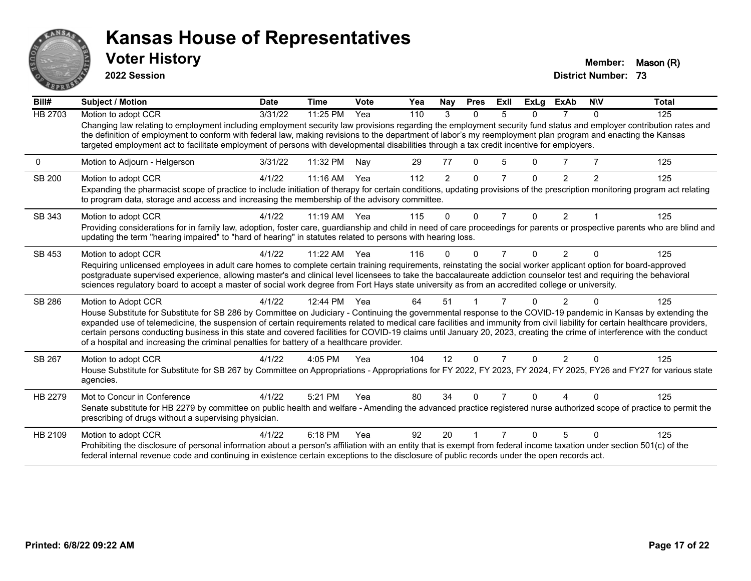

**2022 Session**

**Voter History Member:** Mason (R)

| Bill#          | Subject / Motion                                                                                                                                                                                                                                                                                                                                                                                                                                                                                                                                                                                                        | <b>Date</b> | <b>Time</b> | Vote | Yea | Nay            | <b>Pres</b> | ExII           | <b>ExLg</b> | <b>ExAb</b>    | <b>NIV</b>     | <b>Total</b> |
|----------------|-------------------------------------------------------------------------------------------------------------------------------------------------------------------------------------------------------------------------------------------------------------------------------------------------------------------------------------------------------------------------------------------------------------------------------------------------------------------------------------------------------------------------------------------------------------------------------------------------------------------------|-------------|-------------|------|-----|----------------|-------------|----------------|-------------|----------------|----------------|--------------|
| <b>HB 2703</b> | Motion to adopt CCR                                                                                                                                                                                                                                                                                                                                                                                                                                                                                                                                                                                                     | 3/31/22     | 11:25 PM    | Yea  | 110 | 3              | $\Omega$    | 5              | $\Omega$    |                | $\Omega$       | 125          |
|                | Changing law relating to employment including employment security law provisions regarding the employment security fund status and employer contribution rates and<br>the definition of employment to conform with federal law, making revisions to the department of labor's my reemployment plan program and enacting the Kansas<br>targeted employment act to facilitate employment of persons with developmental disabilities through a tax credit incentive for employers.                                                                                                                                         |             |             |      |     |                |             |                |             |                |                |              |
| 0              | Motion to Adjourn - Helgerson                                                                                                                                                                                                                                                                                                                                                                                                                                                                                                                                                                                           | 3/31/22     | 11:32 PM    | Nay  | 29  | 77             | 0           | 5              | 0           |                |                | 125          |
| SB 200         | Motion to adopt CCR                                                                                                                                                                                                                                                                                                                                                                                                                                                                                                                                                                                                     | 4/1/22      | 11:16 AM    | Yea  | 112 | $\overline{2}$ | $\Omega$    | $\overline{7}$ | $\Omega$    | $\overline{2}$ | $\overline{2}$ | 125          |
|                | Expanding the pharmacist scope of practice to include initiation of therapy for certain conditions, updating provisions of the prescription monitoring program act relating<br>to program data, storage and access and increasing the membership of the advisory committee.                                                                                                                                                                                                                                                                                                                                             |             |             |      |     |                |             |                |             |                |                |              |
| SB 343         | Motion to adopt CCR                                                                                                                                                                                                                                                                                                                                                                                                                                                                                                                                                                                                     | 4/1/22      | $11:19$ AM  | Yea  | 115 | $\Omega$       | $\Omega$    | $\overline{7}$ | $\Omega$    | $\overline{2}$ |                | 125          |
|                | Providing considerations for in family law, adoption, foster care, guardianship and child in need of care proceedings for parents or prospective parents who are blind and<br>updating the term "hearing impaired" to "hard of hearing" in statutes related to persons with hearing loss.                                                                                                                                                                                                                                                                                                                               |             |             |      |     |                |             |                |             |                |                |              |
| SB 453         | Motion to adopt CCR                                                                                                                                                                                                                                                                                                                                                                                                                                                                                                                                                                                                     | 4/1/22      | $11:22$ AM  | Yea  | 116 | 0              | $\Omega$    | 7              | 0           | 2              | ∩              | 125          |
|                | Requiring unlicensed employees in adult care homes to complete certain training requirements, reinstating the social worker applicant option for board-approved                                                                                                                                                                                                                                                                                                                                                                                                                                                         |             |             |      |     |                |             |                |             |                |                |              |
|                | postgraduate supervised experience, allowing master's and clinical level licensees to take the baccalaureate addiction counselor test and requiring the behavioral<br>sciences regulatory board to accept a master of social work degree from Fort Hays state university as from an accredited college or university.                                                                                                                                                                                                                                                                                                   |             |             |      |     |                |             |                |             |                |                |              |
| SB 286         | Motion to Adopt CCR                                                                                                                                                                                                                                                                                                                                                                                                                                                                                                                                                                                                     | 4/1/22      | 12:44 PM    | Yea  | 64  | 51             |             |                |             | 2              |                | 125          |
|                | House Substitute for Substitute for SB 286 by Committee on Judiciary - Continuing the governmental response to the COVID-19 pandemic in Kansas by extending the<br>expanded use of telemedicine, the suspension of certain requirements related to medical care facilities and immunity from civil liability for certain healthcare providers,<br>certain persons conducting business in this state and covered facilities for COVID-19 claims until January 20, 2023, creating the crime of interference with the conduct<br>of a hospital and increasing the criminal penalties for battery of a healthcare provider. |             |             |      |     |                |             |                |             |                |                |              |
| SB 267         | Motion to adopt CCR                                                                                                                                                                                                                                                                                                                                                                                                                                                                                                                                                                                                     | 4/1/22      | 4:05 PM     | Yea  | 104 | 12             | $\Omega$    | $\overline{7}$ | $\Omega$    | $\overline{2}$ | $\Omega$       | 125          |
|                | House Substitute for Substitute for SB 267 by Committee on Appropriations - Appropriations for FY 2022, FY 2023, FY 2024, FY 2025, FY26 and FY27 for various state<br>agencies.                                                                                                                                                                                                                                                                                                                                                                                                                                         |             |             |      |     |                |             |                |             |                |                |              |
| HB 2279        | Mot to Concur in Conference                                                                                                                                                                                                                                                                                                                                                                                                                                                                                                                                                                                             | 4/1/22      | 5:21 PM     | Yea  | 80  | 34             | $\Omega$    |                | n.          |                |                | 125          |
|                | Senate substitute for HB 2279 by committee on public health and welfare - Amending the advanced practice registered nurse authorized scope of practice to permit the<br>prescribing of drugs without a supervising physician.                                                                                                                                                                                                                                                                                                                                                                                           |             |             |      |     |                |             |                |             |                |                |              |
| HB 2109        | Motion to adopt CCR                                                                                                                                                                                                                                                                                                                                                                                                                                                                                                                                                                                                     | 4/1/22      | 6:18 PM     | Yea  | 92  | 20             |             |                | n           | 5              | ∩              | 125          |
|                | Prohibiting the disclosure of personal information about a person's affiliation with an entity that is exempt from federal income taxation under section 501(c) of the<br>federal internal revenue code and continuing in existence certain exceptions to the disclosure of public records under the open records act.                                                                                                                                                                                                                                                                                                  |             |             |      |     |                |             |                |             |                |                |              |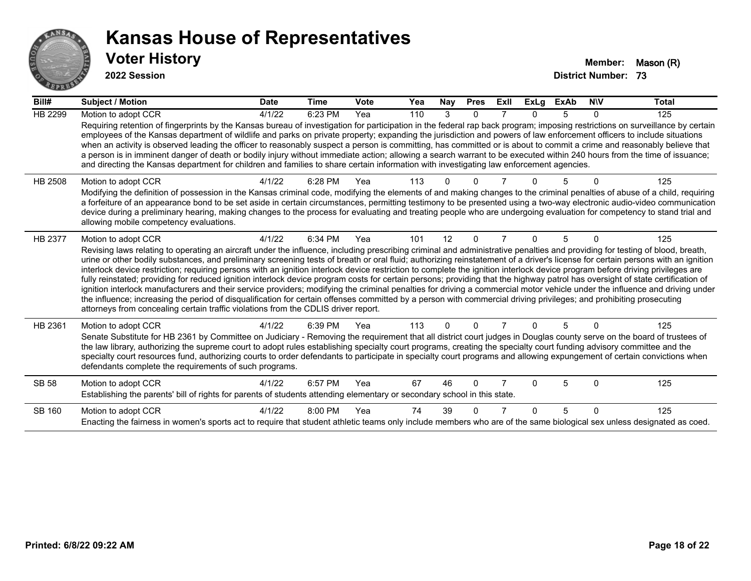

| Bill#   | <b>Subject / Motion</b>                                                                                                                                                                                                                                                                                                                                                                                                                                                                                                                                                                                                                                                                                                                                                                                                                                                                                                                                                                                                                                                                                                                                                                               | <b>Date</b> | Time    | Vote | Yea | Nay      | <b>Pres</b>  | Exll | ExLg     | <b>ExAb</b> | <b>NIV</b> | <b>Total</b> |
|---------|-------------------------------------------------------------------------------------------------------------------------------------------------------------------------------------------------------------------------------------------------------------------------------------------------------------------------------------------------------------------------------------------------------------------------------------------------------------------------------------------------------------------------------------------------------------------------------------------------------------------------------------------------------------------------------------------------------------------------------------------------------------------------------------------------------------------------------------------------------------------------------------------------------------------------------------------------------------------------------------------------------------------------------------------------------------------------------------------------------------------------------------------------------------------------------------------------------|-------------|---------|------|-----|----------|--------------|------|----------|-------------|------------|--------------|
| HB 2299 | Motion to adopt CCR<br>Requiring retention of fingerprints by the Kansas bureau of investigation for participation in the federal rap back program; imposing restrictions on surveillance by certain<br>employees of the Kansas department of wildlife and parks on private property; expanding the jurisdiction and powers of law enforcement officers to include situations<br>when an activity is observed leading the officer to reasonably suspect a person is committing, has committed or is about to commit a crime and reasonably believe that<br>a person is in imminent danger of death or bodily injury without immediate action; allowing a search warrant to be executed within 240 hours from the time of issuance;<br>and directing the Kansas department for children and families to share certain information with investigating law enforcement agencies.                                                                                                                                                                                                                                                                                                                         | 4/1/22      | 6:23 PM | Yea  | 110 | 3        | $\mathbf{0}$ |      | $\Omega$ | 5           | 0          | 125          |
| HB 2508 | Motion to adopt CCR<br>Modifying the definition of possession in the Kansas criminal code, modifying the elements of and making changes to the criminal penalties of abuse of a child, requiring<br>a forfeiture of an appearance bond to be set aside in certain circumstances, permitting testimony to be presented using a two-way electronic audio-video communication<br>device during a preliminary hearing, making changes to the process for evaluating and treating people who are undergoing evaluation for competency to stand trial and<br>allowing mobile competency evaluations.                                                                                                                                                                                                                                                                                                                                                                                                                                                                                                                                                                                                        | 4/1/22      | 6:28 PM | Yea  | 113 |          |              |      |          | 5           |            | 125          |
| HB 2377 | Motion to adopt CCR<br>Revising laws relating to operating an aircraft under the influence, including prescribing criminal and administrative penalties and providing for testing of blood, breath,<br>urine or other bodily substances, and preliminary screening tests of breath or oral fluid; authorizing reinstatement of a driver's license for certain persons with an ignition<br>interlock device restriction; requiring persons with an ignition interlock device restriction to complete the ignition interlock device program before driving privileges are<br>fully reinstated; providing for reduced ignition interlock device program costs for certain persons; providing that the highway patrol has oversight of state certification of<br>ignition interlock manufacturers and their service providers; modifying the criminal penalties for driving a commercial motor vehicle under the influence and driving under<br>the influence; increasing the period of disqualification for certain offenses committed by a person with commercial driving privileges; and prohibiting prosecuting<br>attorneys from concealing certain traffic violations from the CDLIS driver report. | 4/1/22      | 6:34 PM | Yea  | 101 | 12       | $\Omega$     |      | $\Omega$ | 5           | 0          | 125          |
| HB 2361 | Motion to adopt CCR<br>Senate Substitute for HB 2361 by Committee on Judiciary - Removing the requirement that all district court judges in Douglas county serve on the board of trustees of<br>the law library, authorizing the supreme court to adopt rules establishing specialty court programs, creating the specialty court funding advisory committee and the<br>specialty court resources fund, authorizing courts to order defendants to participate in specialty court programs and allowing expungement of certain convictions when<br>defendants complete the requirements of such programs.                                                                                                                                                                                                                                                                                                                                                                                                                                                                                                                                                                                              | 4/1/22      | 6:39 PM | Yea  | 113 | $\Omega$ | $\Omega$     |      | $\Omega$ | 5           | 0          | 125          |
| SB 58   | Motion to adopt CCR<br>Establishing the parents' bill of rights for parents of students attending elementary or secondary school in this state.                                                                                                                                                                                                                                                                                                                                                                                                                                                                                                                                                                                                                                                                                                                                                                                                                                                                                                                                                                                                                                                       | 4/1/22      | 6:57 PM | Yea  | 67  | 46       | 0            |      | $\Omega$ | 5           | $\Omega$   | 125          |
| SB 160  | Motion to adopt CCR<br>Enacting the fairness in women's sports act to require that student athletic teams only include members who are of the same biological sex unless designated as coed.                                                                                                                                                                                                                                                                                                                                                                                                                                                                                                                                                                                                                                                                                                                                                                                                                                                                                                                                                                                                          | 4/1/22      | 8:00 PM | Yea  | 74  | 39       |              |      | $\Omega$ | 5           | $\Omega$   | 125          |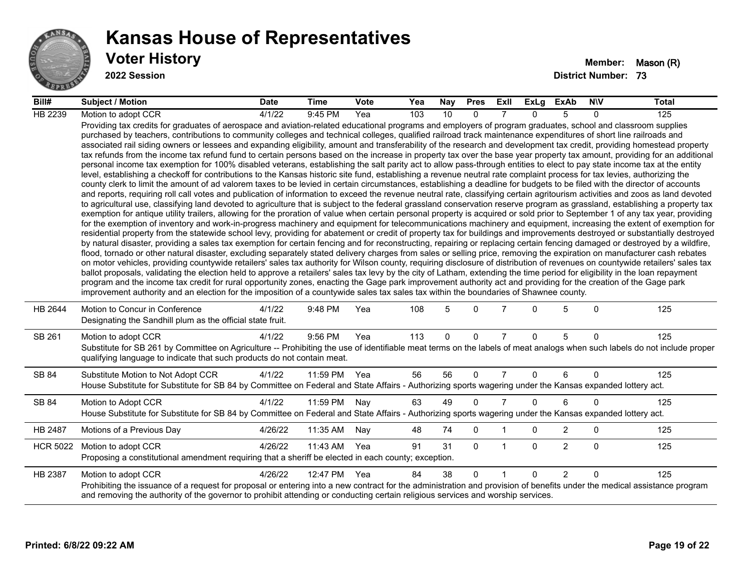

| Bill#           | <b>Subject / Motion</b>                                                                                                                                                                                                                                                                                                                                                                                                                                                                                                                                                                                                                                                                                                                                                                                                                                                                                                                                                                                                                                                                                                                                                                                                                                                                                                                                                                                                                                                                                                                                                                                                                                                                                                                                                                                                                                                                                                                                                                                                                                                                                                                                                                                                                                                                                                                                                                                                                                                                                                                                                                                                                                                                                                                                                                                                                                                                                                                                                                                                                                                                                                                                                     | <b>Date</b> | Time         | <b>Vote</b> | Yea | Nay | <b>Pres</b> | ExII           | ExLg     | ExAb           | <b>NIV</b>   | <b>Total</b> |
|-----------------|-----------------------------------------------------------------------------------------------------------------------------------------------------------------------------------------------------------------------------------------------------------------------------------------------------------------------------------------------------------------------------------------------------------------------------------------------------------------------------------------------------------------------------------------------------------------------------------------------------------------------------------------------------------------------------------------------------------------------------------------------------------------------------------------------------------------------------------------------------------------------------------------------------------------------------------------------------------------------------------------------------------------------------------------------------------------------------------------------------------------------------------------------------------------------------------------------------------------------------------------------------------------------------------------------------------------------------------------------------------------------------------------------------------------------------------------------------------------------------------------------------------------------------------------------------------------------------------------------------------------------------------------------------------------------------------------------------------------------------------------------------------------------------------------------------------------------------------------------------------------------------------------------------------------------------------------------------------------------------------------------------------------------------------------------------------------------------------------------------------------------------------------------------------------------------------------------------------------------------------------------------------------------------------------------------------------------------------------------------------------------------------------------------------------------------------------------------------------------------------------------------------------------------------------------------------------------------------------------------------------------------------------------------------------------------------------------------------------------------------------------------------------------------------------------------------------------------------------------------------------------------------------------------------------------------------------------------------------------------------------------------------------------------------------------------------------------------------------------------------------------------------------------------------------------------|-------------|--------------|-------------|-----|-----|-------------|----------------|----------|----------------|--------------|--------------|
| HB 2239         | Motion to adopt CCR                                                                                                                                                                                                                                                                                                                                                                                                                                                                                                                                                                                                                                                                                                                                                                                                                                                                                                                                                                                                                                                                                                                                                                                                                                                                                                                                                                                                                                                                                                                                                                                                                                                                                                                                                                                                                                                                                                                                                                                                                                                                                                                                                                                                                                                                                                                                                                                                                                                                                                                                                                                                                                                                                                                                                                                                                                                                                                                                                                                                                                                                                                                                                         | 4/1/22      | 9:45 PM      | Yea         | 103 | 10  | $\Omega$    |                | $\Omega$ | 5              | $\Omega$     | 125          |
|                 | Providing tax credits for graduates of aerospace and aviation-related educational programs and employers of program graduates, school and classroom supplies<br>purchased by teachers, contributions to community colleges and technical colleges, qualified railroad track maintenance expenditures of short line railroads and<br>associated rail siding owners or lessees and expanding eligibility, amount and transferability of the research and development tax credit, providing homestead property<br>tax refunds from the income tax refund fund to certain persons based on the increase in property tax over the base year property tax amount, providing for an additional<br>personal income tax exemption for 100% disabled veterans, establishing the salt parity act to allow pass-through entities to elect to pay state income tax at the entity<br>level, establishing a checkoff for contributions to the Kansas historic site fund, establishing a revenue neutral rate complaint process for tax levies, authorizing the<br>county clerk to limit the amount of ad valorem taxes to be levied in certain circumstances, establishing a deadline for budgets to be filed with the director of accounts<br>and reports, requiring roll call votes and publication of information to exceed the revenue neutral rate, classifying certain agritourism activities and zoos as land devoted<br>to agricultural use, classifying land devoted to agriculture that is subject to the federal grassland conservation reserve program as grassland, establishing a property tax<br>exemption for antique utility trailers, allowing for the proration of value when certain personal property is acquired or sold prior to September 1 of any tax year, providing<br>for the exemption of inventory and work-in-progress machinery and equipment for telecommunications machinery and equipment, increasing the extent of exemption for<br>residential property from the statewide school levy, providing for abatement or credit of property tax for buildings and improvements destroyed or substantially destroyed<br>by natural disaster, providing a sales tax exemption for certain fencing and for reconstructing, repairing or replacing certain fencing damaged or destroyed by a wildfire,<br>flood, tornado or other natural disaster, excluding separately stated delivery charges from sales or selling price, removing the expiration on manufacturer cash rebates<br>on motor vehicles, providing countywide retailers' sales tax authority for Wilson county, requiring disclosure of distribution of revenues on countywide retailers' sales tax<br>ballot proposals, validating the election held to approve a retailers' sales tax levy by the city of Latham, extending the time period for eligibility in the loan repayment<br>program and the income tax credit for rural opportunity zones, enacting the Gage park improvement authority act and providing for the creation of the Gage park<br>improvement authority and an election for the imposition of a countywide sales tax sales tax within the boundaries of Shawnee county. |             |              |             |     |     |             |                |          |                |              |              |
| HB 2644         | Motion to Concur in Conference<br>Designating the Sandhill plum as the official state fruit.                                                                                                                                                                                                                                                                                                                                                                                                                                                                                                                                                                                                                                                                                                                                                                                                                                                                                                                                                                                                                                                                                                                                                                                                                                                                                                                                                                                                                                                                                                                                                                                                                                                                                                                                                                                                                                                                                                                                                                                                                                                                                                                                                                                                                                                                                                                                                                                                                                                                                                                                                                                                                                                                                                                                                                                                                                                                                                                                                                                                                                                                                | 4/1/22      | 9:48 PM      | Yea         | 108 | 5   | $\Omega$    |                | $\Omega$ | 5              | $\mathbf{0}$ | 125          |
| SB 261          | Motion to adopt CCR<br>Substitute for SB 261 by Committee on Agriculture -- Prohibiting the use of identifiable meat terms on the labels of meat analogs when such labels do not include proper<br>qualifying language to indicate that such products do not contain meat.                                                                                                                                                                                                                                                                                                                                                                                                                                                                                                                                                                                                                                                                                                                                                                                                                                                                                                                                                                                                                                                                                                                                                                                                                                                                                                                                                                                                                                                                                                                                                                                                                                                                                                                                                                                                                                                                                                                                                                                                                                                                                                                                                                                                                                                                                                                                                                                                                                                                                                                                                                                                                                                                                                                                                                                                                                                                                                  | 4/1/22      | 9:56 PM      | Yea         | 113 | 0   | $\mathbf 0$ | $\overline{7}$ | $\Omega$ | 5              | $\mathbf 0$  | 125          |
| SB 84           | Substitute Motion to Not Adopt CCR<br>House Substitute for Substitute for SB 84 by Committee on Federal and State Affairs - Authorizing sports wagering under the Kansas expanded lottery act.                                                                                                                                                                                                                                                                                                                                                                                                                                                                                                                                                                                                                                                                                                                                                                                                                                                                                                                                                                                                                                                                                                                                                                                                                                                                                                                                                                                                                                                                                                                                                                                                                                                                                                                                                                                                                                                                                                                                                                                                                                                                                                                                                                                                                                                                                                                                                                                                                                                                                                                                                                                                                                                                                                                                                                                                                                                                                                                                                                              | 4/1/22      | 11:59 PM Yea |             | 56  | 56  | $\Omega$    | 7              | 0        | 6              | $\Omega$     | 125          |
| SB 84           | Motion to Adopt CCR<br>House Substitute for Substitute for SB 84 by Committee on Federal and State Affairs - Authorizing sports wagering under the Kansas expanded lottery act.                                                                                                                                                                                                                                                                                                                                                                                                                                                                                                                                                                                                                                                                                                                                                                                                                                                                                                                                                                                                                                                                                                                                                                                                                                                                                                                                                                                                                                                                                                                                                                                                                                                                                                                                                                                                                                                                                                                                                                                                                                                                                                                                                                                                                                                                                                                                                                                                                                                                                                                                                                                                                                                                                                                                                                                                                                                                                                                                                                                             | 4/1/22      | 11:59 PM     | Nay         | 63  | 49  | $\Omega$    | $\overline{7}$ | $\Omega$ | 6              | $\Omega$     | 125          |
| HB 2487         | Motions of a Previous Day                                                                                                                                                                                                                                                                                                                                                                                                                                                                                                                                                                                                                                                                                                                                                                                                                                                                                                                                                                                                                                                                                                                                                                                                                                                                                                                                                                                                                                                                                                                                                                                                                                                                                                                                                                                                                                                                                                                                                                                                                                                                                                                                                                                                                                                                                                                                                                                                                                                                                                                                                                                                                                                                                                                                                                                                                                                                                                                                                                                                                                                                                                                                                   | 4/26/22     | 11:35 AM     | Nay         | 48  | 74  | 0           |                | 0        | $\overline{2}$ | 0            | 125          |
| <b>HCR 5022</b> | Motion to adopt CCR<br>Proposing a constitutional amendment requiring that a sheriff be elected in each county; exception.                                                                                                                                                                                                                                                                                                                                                                                                                                                                                                                                                                                                                                                                                                                                                                                                                                                                                                                                                                                                                                                                                                                                                                                                                                                                                                                                                                                                                                                                                                                                                                                                                                                                                                                                                                                                                                                                                                                                                                                                                                                                                                                                                                                                                                                                                                                                                                                                                                                                                                                                                                                                                                                                                                                                                                                                                                                                                                                                                                                                                                                  | 4/26/22     | 11:43 AM     | Yea         | 91  | 31  | $\Omega$    | $\overline{1}$ | $\Omega$ | $\overline{2}$ | $\mathbf{0}$ | 125          |
| HB 2387         | Motion to adopt CCR<br>Prohibiting the issuance of a request for proposal or entering into a new contract for the administration and provision of benefits under the medical assistance program<br>and removing the authority of the governor to prohibit attending or conducting certain religious services and worship services.                                                                                                                                                                                                                                                                                                                                                                                                                                                                                                                                                                                                                                                                                                                                                                                                                                                                                                                                                                                                                                                                                                                                                                                                                                                                                                                                                                                                                                                                                                                                                                                                                                                                                                                                                                                                                                                                                                                                                                                                                                                                                                                                                                                                                                                                                                                                                                                                                                                                                                                                                                                                                                                                                                                                                                                                                                          | 4/26/22     | 12:47 PM     | Yea         | 84  | 38  | $\Omega$    |                | $\Omega$ | $\overline{2}$ | $\Omega$     | 125          |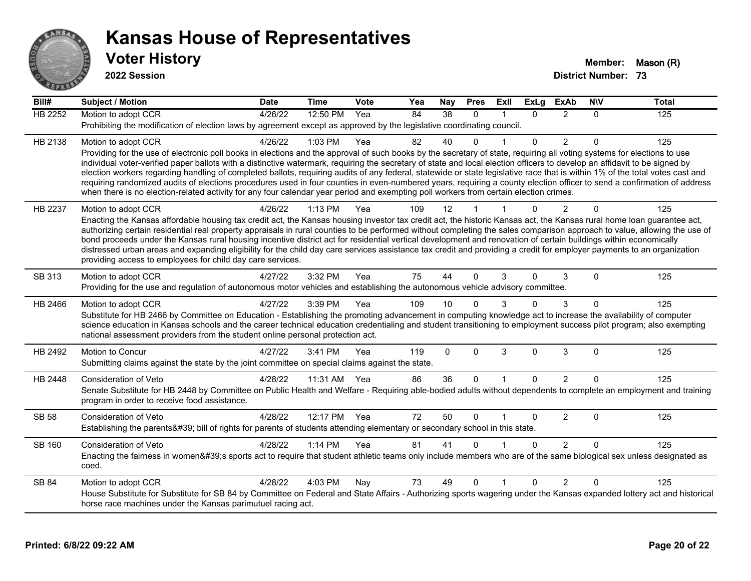

| $\overline{Bill#}$ | <b>Subject / Motion</b>                                                                                                                                                                                                                                                                                                                                                                                                                                                                                                                                                                                                                                                                                                                                                                                                                                   | <b>Date</b> | <b>Time</b> | Vote | Yea | Nay      | <b>Pres</b> | Exll | <b>ExLa</b>  | <b>ExAb</b>    | <b>NIV</b>   | Total |
|--------------------|-----------------------------------------------------------------------------------------------------------------------------------------------------------------------------------------------------------------------------------------------------------------------------------------------------------------------------------------------------------------------------------------------------------------------------------------------------------------------------------------------------------------------------------------------------------------------------------------------------------------------------------------------------------------------------------------------------------------------------------------------------------------------------------------------------------------------------------------------------------|-------------|-------------|------|-----|----------|-------------|------|--------------|----------------|--------------|-------|
| HB 2252            | Motion to adopt CCR                                                                                                                                                                                                                                                                                                                                                                                                                                                                                                                                                                                                                                                                                                                                                                                                                                       | 4/26/22     | 12:50 PM    | Yea  | 84  | 38       | $\Omega$    |      | $\Omega$     | $\overline{2}$ | $\Omega$     | 125   |
|                    | Prohibiting the modification of election laws by agreement except as approved by the legislative coordinating council.                                                                                                                                                                                                                                                                                                                                                                                                                                                                                                                                                                                                                                                                                                                                    |             |             |      |     |          |             |      |              |                |              |       |
| HB 2138            | Motion to adopt CCR                                                                                                                                                                                                                                                                                                                                                                                                                                                                                                                                                                                                                                                                                                                                                                                                                                       | 4/26/22     | 1:03 PM     | Yea  | 82  | 40       | $\Omega$    |      | $\Omega$     | 2              | $\Omega$     | 125   |
|                    | Providing for the use of electronic poll books in elections and the approval of such books by the secretary of state, requiring all voting systems for elections to use<br>individual voter-verified paper ballots with a distinctive watermark, requiring the secretary of state and local election officers to develop an affidavit to be signed by<br>election workers regarding handling of completed ballots, requiring audits of any federal, statewide or state legislative race that is within 1% of the total votes cast and<br>requiring randomized audits of elections procedures used in four counties in even-numbered years, requiring a county election officer to send a confirmation of address<br>when there is no election-related activity for any four calendar year period and exempting poll workers from certain election crimes. |             |             |      |     |          |             |      |              |                |              |       |
| HB 2237            | Motion to adopt CCR                                                                                                                                                                                                                                                                                                                                                                                                                                                                                                                                                                                                                                                                                                                                                                                                                                       | 4/26/22     | $1:13$ PM   | Yea  | 109 | 12       |             |      | $\Omega$     | $\mathcal{P}$  | $\Omega$     | 125   |
|                    | Enacting the Kansas affordable housing tax credit act, the Kansas housing investor tax credit act, the historic Kansas act, the Kansas rural home loan guarantee act,<br>authorizing certain residential real property appraisals in rural counties to be performed without completing the sales comparison approach to value, allowing the use of<br>bond proceeds under the Kansas rural housing incentive district act for residential vertical development and renovation of certain buildings within economically<br>distressed urban areas and expanding eligibility for the child day care services assistance tax credit and providing a credit for employer payments to an organization<br>providing access to employees for child day care services.                                                                                            |             |             |      |     |          |             |      |              |                |              |       |
| SB 313             | Motion to adopt CCR                                                                                                                                                                                                                                                                                                                                                                                                                                                                                                                                                                                                                                                                                                                                                                                                                                       | 4/27/22     | 3:32 PM     | Yea  | 75  | 44       | $\Omega$    | 3    | $\Omega$     | 3              | $\Omega$     | 125   |
|                    | Providing for the use and regulation of autonomous motor vehicles and establishing the autonomous vehicle advisory committee.                                                                                                                                                                                                                                                                                                                                                                                                                                                                                                                                                                                                                                                                                                                             |             |             |      |     |          |             |      |              |                |              |       |
| HB 2466            | Motion to adopt CCR<br>Substitute for HB 2466 by Committee on Education - Establishing the promoting advancement in computing knowledge act to increase the availability of computer<br>science education in Kansas schools and the career technical education credentialing and student transitioning to employment success pilot program; also exempting<br>national assessment providers from the student online personal protection act.                                                                                                                                                                                                                                                                                                                                                                                                              | 4/27/22     | 3:39 PM     | Yea  | 109 | 10       | $\Omega$    | 3    | $\Omega$     | 3              | $\Omega$     | 125   |
| HB 2492            | Motion to Concur<br>Submitting claims against the state by the joint committee on special claims against the state.                                                                                                                                                                                                                                                                                                                                                                                                                                                                                                                                                                                                                                                                                                                                       | 4/27/22     | 3:41 PM     | Yea  | 119 | $\Omega$ | $\Omega$    | 3    | $\Omega$     | 3              | $\Omega$     | 125   |
| HB 2448            | Consideration of Veto                                                                                                                                                                                                                                                                                                                                                                                                                                                                                                                                                                                                                                                                                                                                                                                                                                     | 4/28/22     | 11:31 AM    | Yea  | 86  | 36       | $\Omega$    |      | $\mathbf{0}$ | 2              | $\Omega$     | 125   |
|                    | Senate Substitute for HB 2448 by Committee on Public Health and Welfare - Requiring able-bodied adults without dependents to complete an employment and training<br>program in order to receive food assistance.                                                                                                                                                                                                                                                                                                                                                                                                                                                                                                                                                                                                                                          |             |             |      |     |          |             |      |              |                |              |       |
| <b>SB 58</b>       | Consideration of Veto                                                                                                                                                                                                                                                                                                                                                                                                                                                                                                                                                                                                                                                                                                                                                                                                                                     | 4/28/22     | 12:17 PM    | Yea  | 72  | 50       | $\Omega$    |      | $\Omega$     | $\overline{2}$ | 0            | 125   |
|                    | Establishing the parents' bill of rights for parents of students attending elementary or secondary school in this state.                                                                                                                                                                                                                                                                                                                                                                                                                                                                                                                                                                                                                                                                                                                                  |             |             |      |     |          |             |      |              |                |              |       |
| <b>SB 160</b>      | Consideration of Veto<br>Enacting the fairness in women's sports act to require that student athletic teams only include members who are of the same biological sex unless designated as<br>coed.                                                                                                                                                                                                                                                                                                                                                                                                                                                                                                                                                                                                                                                         | 4/28/22     | 1:14 PM     | Yea  | 81  | 41       | $\Omega$    |      | $\Omega$     | $\mathcal{P}$  | $\Omega$     | 125   |
| <b>SB 84</b>       | Motion to adopt CCR<br>House Substitute for Substitute for SB 84 by Committee on Federal and State Affairs - Authorizing sports wagering under the Kansas expanded lottery act and historical<br>horse race machines under the Kansas parimutuel racing act.                                                                                                                                                                                                                                                                                                                                                                                                                                                                                                                                                                                              | 4/28/22     | 4:03 PM     | Nay  | 73  | 49       | $\Omega$    |      | $\Omega$     | $\overline{2}$ | $\mathbf{0}$ | 125   |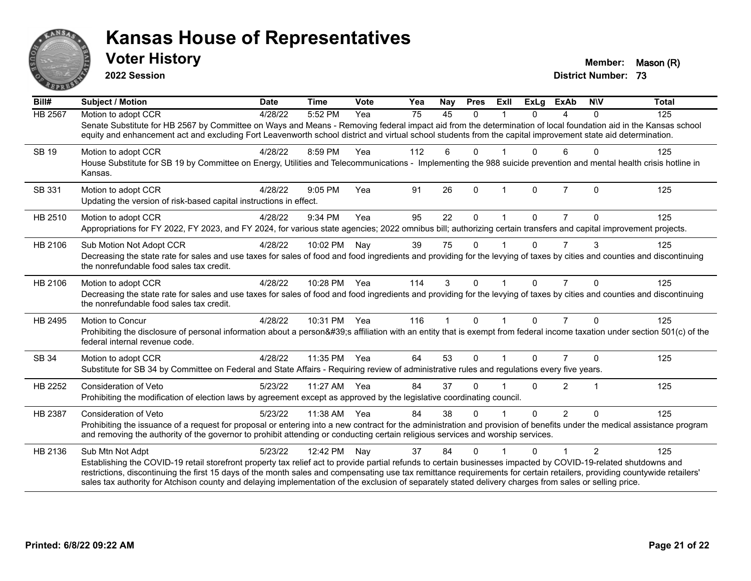

**2022 Session**

**District Number: 73 Voter History Member:** Mason (R)

| Bill#          | <b>Subject / Motion</b>                                                                                                                                                                                                                                                                                                                                                                                                                                                                                                    | <b>Date</b> | <b>Time</b>  | Vote | Yea | Nay | <b>Pres</b>  | <b>Exll</b>  | <b>ExLg</b> | <b>ExAb</b>    | <b>NIV</b>     | <b>Total</b> |
|----------------|----------------------------------------------------------------------------------------------------------------------------------------------------------------------------------------------------------------------------------------------------------------------------------------------------------------------------------------------------------------------------------------------------------------------------------------------------------------------------------------------------------------------------|-------------|--------------|------|-----|-----|--------------|--------------|-------------|----------------|----------------|--------------|
| <b>HB 2567</b> | Motion to adopt CCR<br>Senate Substitute for HB 2567 by Committee on Ways and Means - Removing federal impact aid from the determination of local foundation aid in the Kansas school<br>equity and enhancement act and excluding Fort Leavenworth school district and virtual school students from the capital improvement state aid determination.                                                                                                                                                                       | 4/28/22     | 5:52 PM      | Yea  | 75  | 45  | $\Omega$     |              | $\Omega$    | 4              | $\Omega$       | 125          |
| SB 19          | Motion to adopt CCR<br>House Substitute for SB 19 by Committee on Energy, Utilities and Telecommunications - Implementing the 988 suicide prevention and mental health crisis hotline in<br>Kansas.                                                                                                                                                                                                                                                                                                                        | 4/28/22     | 8:59 PM      | Yea  | 112 | 6   | $\Omega$     |              | 0           | 6              | $\Omega$       | 125          |
| SB 331         | Motion to adopt CCR<br>Updating the version of risk-based capital instructions in effect.                                                                                                                                                                                                                                                                                                                                                                                                                                  | 4/28/22     | 9:05 PM      | Yea  | 91  | 26  | $\mathbf{0}$ | $\mathbf{1}$ | $\Omega$    | $\overline{7}$ | $\mathbf{0}$   | 125          |
| HB 2510        | Motion to adopt CCR<br>Appropriations for FY 2022, FY 2023, and FY 2024, for various state agencies; 2022 omnibus bill; authorizing certain transfers and capital improvement projects.                                                                                                                                                                                                                                                                                                                                    | 4/28/22     | 9:34 PM      | Yea  | 95  | 22  | $\mathbf{0}$ |              | 0           |                | $\Omega$       | 125          |
| HB 2106        | Sub Motion Not Adopt CCR<br>Decreasing the state rate for sales and use taxes for sales of food and food ingredients and providing for the levying of taxes by cities and counties and discontinuing<br>the nonrefundable food sales tax credit.                                                                                                                                                                                                                                                                           | 4/28/22     | 10:02 PM     | Nay  | 39  | 75  | $\mathbf{0}$ |              | 0           | $\overline{7}$ | 3              | 125          |
| HB 2106        | Motion to adopt CCR<br>Decreasing the state rate for sales and use taxes for sales of food and food ingredients and providing for the levying of taxes by cities and counties and discontinuing<br>the nonrefundable food sales tax credit.                                                                                                                                                                                                                                                                                | 4/28/22     | 10:28 PM Yea |      | 114 | 3   | $\Omega$     |              | $\Omega$    | $\overline{7}$ | $\Omega$       | 125          |
| HB 2495        | <b>Motion to Concur</b><br>Prohibiting the disclosure of personal information about a person's affiliation with an entity that is exempt from federal income taxation under section 501(c) of the<br>federal internal revenue code.                                                                                                                                                                                                                                                                                        | 4/28/22     | 10:31 PM Yea |      | 116 | 1   | $\mathbf 0$  | $\mathbf{1}$ | $\Omega$    | $\overline{7}$ | $\Omega$       | 125          |
| SB 34          | Motion to adopt CCR<br>Substitute for SB 34 by Committee on Federal and State Affairs - Requiring review of administrative rules and regulations every five years.                                                                                                                                                                                                                                                                                                                                                         | 4/28/22     | 11:35 PM Yea |      | 64  | 53  | $\mathbf{0}$ |              | $\Omega$    |                | $\Omega$       | 125          |
| HB 2252        | <b>Consideration of Veto</b><br>Prohibiting the modification of election laws by agreement except as approved by the legislative coordinating council.                                                                                                                                                                                                                                                                                                                                                                     | 5/23/22     | 11:27 AM Yea |      | 84  | 37  | $\Omega$     |              | $\Omega$    | $\overline{2}$ | $\mathbf 1$    | 125          |
| HB 2387        | Consideration of Veto<br>Prohibiting the issuance of a request for proposal or entering into a new contract for the administration and provision of benefits under the medical assistance program<br>and removing the authority of the governor to prohibit attending or conducting certain religious services and worship services.                                                                                                                                                                                       | 5/23/22     | 11:38 AM Yea |      | 84  | 38  | $\Omega$     |              | $\Omega$    | $\mathcal{P}$  | $\Omega$       | 125          |
| HB 2136        | Sub Mtn Not Adpt<br>Establishing the COVID-19 retail storefront property tax relief act to provide partial refunds to certain businesses impacted by COVID-19-related shutdowns and<br>restrictions, discontinuing the first 15 days of the month sales and compensating use tax remittance requirements for certain retailers, providing countywide retailers'<br>sales tax authority for Atchison county and delaying implementation of the exclusion of separately stated delivery charges from sales or selling price. | 5/23/22     | 12:42 PM     | Nay  | 37  | 84  | $\Omega$     |              | 0           |                | $\mathfrak{p}$ | 125          |